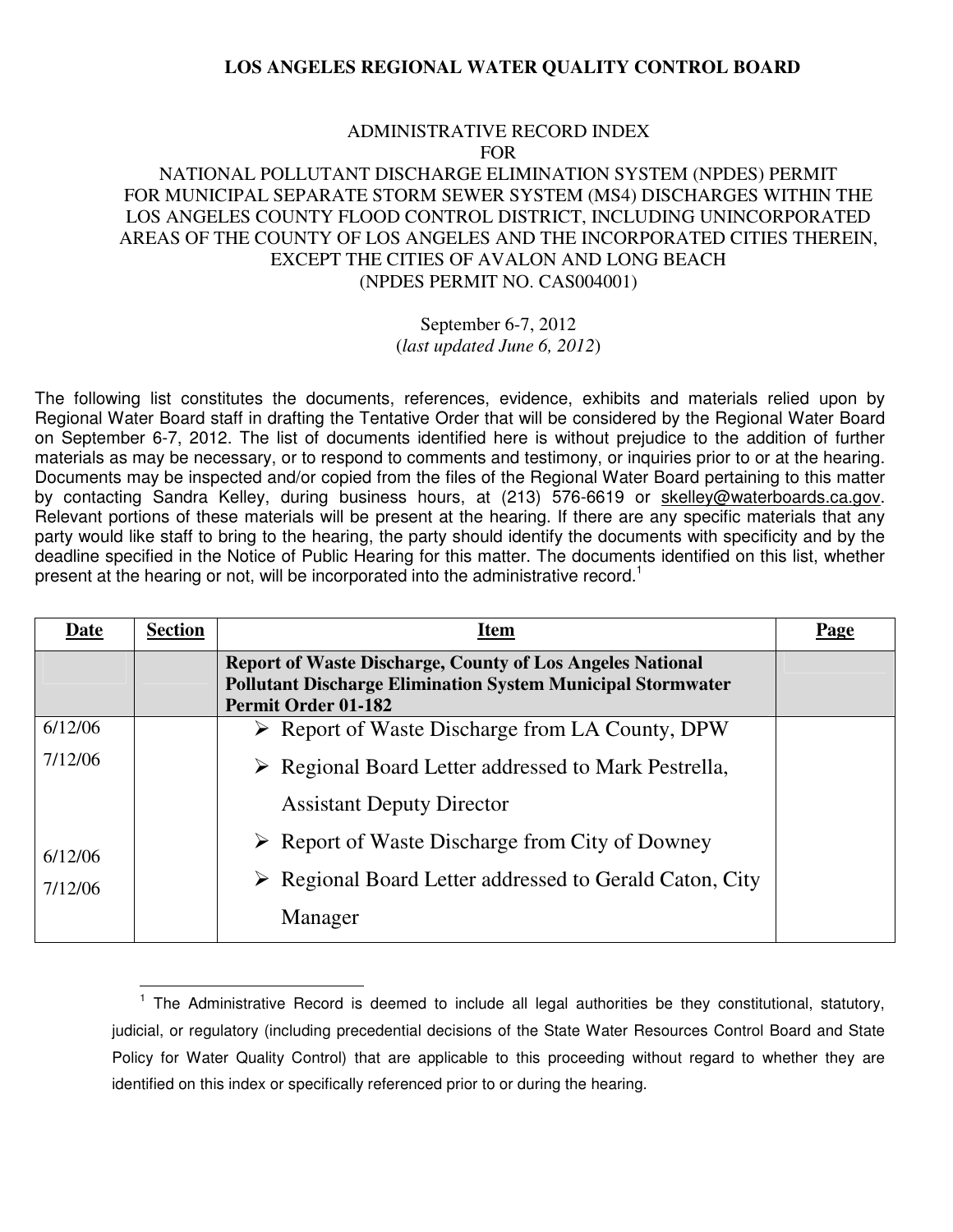#### ADMINISTRATIVE RECORD INDEX FOR

### NATIONAL POLLUTANT DISCHARGE ELIMINATION SYSTEM (NPDES) PERMIT FOR MUNICIPAL SEPARATE STORM SEWER SYSTEM (MS4) DISCHARGES WITHIN THE LOS ANGELES COUNTY FLOOD CONTROL DISTRICT, INCLUDING UNINCORPORATED AREAS OF THE COUNTY OF LOS ANGELES AND THE INCORPORATED CITIES THEREIN, EXCEPT THE CITIES OF AVALON AND LONG BEACH (NPDES PERMIT NO. CAS004001)

# September 6-7, 2012

(*last updated June 6, 2012*)

The following list constitutes the documents, references, evidence, exhibits and materials relied upon by Regional Water Board staff in drafting the Tentative Order that will be considered by the Regional Water Board on September 6-7, 2012. The list of documents identified here is without prejudice to the addition of further materials as may be necessary, or to respond to comments and testimony, or inquiries prior to or at the hearing. Documents may be inspected and/or copied from the files of the Regional Water Board pertaining to this matter by contacting Sandra Kelley, during business hours, at (213) 576-6619 or skelley@waterboards.ca.gov. Relevant portions of these materials will be present at the hearing. If there are any specific materials that any party would like staff to bring to the hearing, the party should identify the documents with specificity and by the deadline specified in the Notice of Public Hearing for this matter. The documents identified on this list, whether present at the hearing or not, will be incorporated into the administrative record.<sup>1</sup>

| Date    | <b>Section</b> | <b>Item</b>                                                                                                                                                          | Page |
|---------|----------------|----------------------------------------------------------------------------------------------------------------------------------------------------------------------|------|
|         |                | <b>Report of Waste Discharge, County of Los Angeles National</b><br><b>Pollutant Discharge Elimination System Municipal Stormwater</b><br><b>Permit Order 01-182</b> |      |
| 6/12/06 |                | $\triangleright$ Report of Waste Discharge from LA County, DPW                                                                                                       |      |
| 7/12/06 |                | $\triangleright$ Regional Board Letter addressed to Mark Pestrella,                                                                                                  |      |
|         |                | <b>Assistant Deputy Director</b>                                                                                                                                     |      |
| 6/12/06 |                | $\triangleright$ Report of Waste Discharge from City of Downey                                                                                                       |      |
| 7/12/06 |                | $\triangleright$ Regional Board Letter addressed to Gerald Caton, City                                                                                               |      |
|         |                | Manager                                                                                                                                                              |      |

 $\overline{a}$ <sup>1</sup> The Administrative Record is deemed to include all legal authorities be they constitutional, statutory, judicial, or regulatory (including precedential decisions of the State Water Resources Control Board and State Policy for Water Quality Control) that are applicable to this proceeding without regard to whether they are identified on this index or specifically referenced prior to or during the hearing.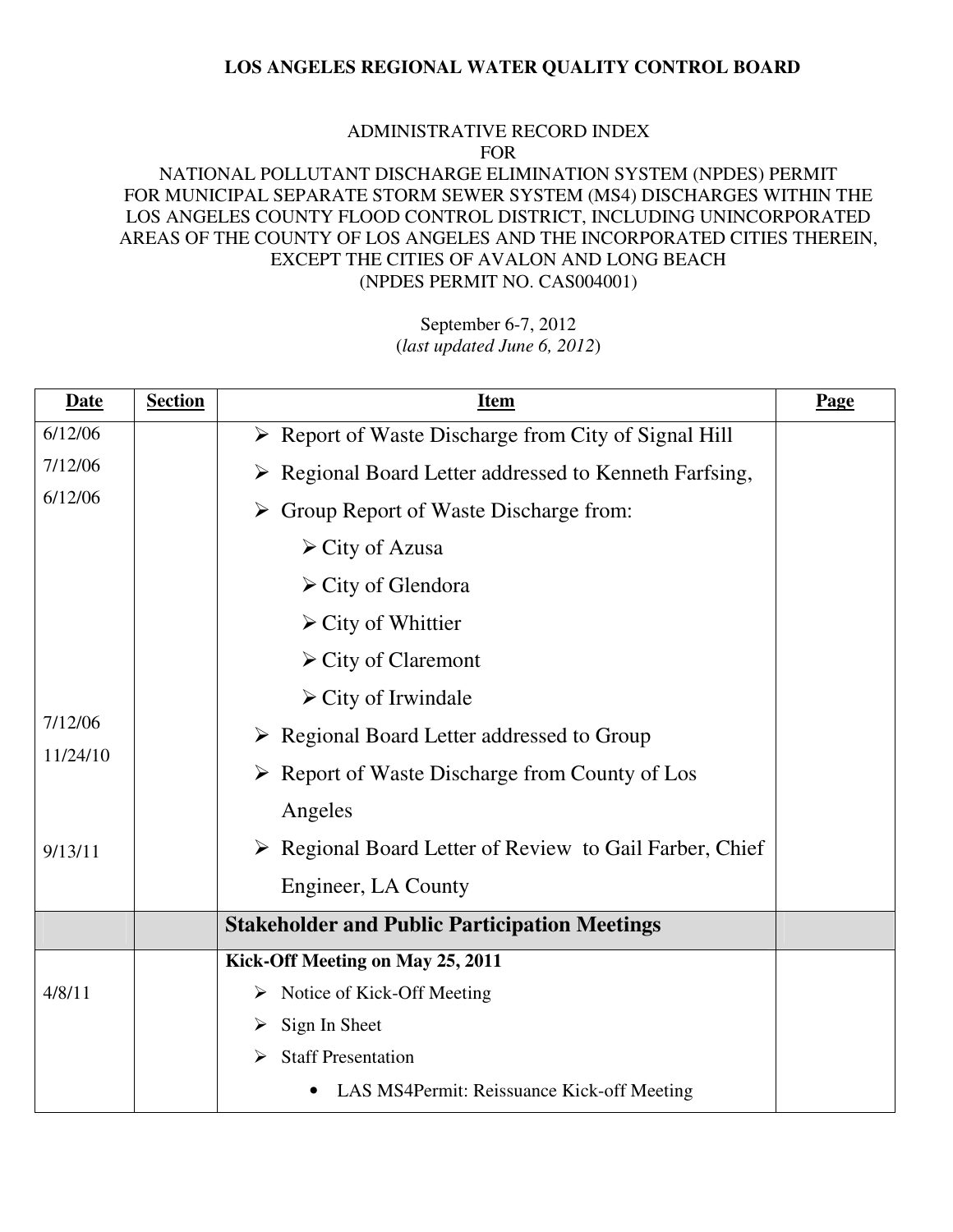#### ADMINISTRATIVE RECORD INDEX FOR

# NATIONAL POLLUTANT DISCHARGE ELIMINATION SYSTEM (NPDES) PERMIT FOR MUNICIPAL SEPARATE STORM SEWER SYSTEM (MS4) DISCHARGES WITHIN THE LOS ANGELES COUNTY FLOOD CONTROL DISTRICT, INCLUDING UNINCORPORATED AREAS OF THE COUNTY OF LOS ANGELES AND THE INCORPORATED CITIES THEREIN, EXCEPT THE CITIES OF AVALON AND LONG BEACH (NPDES PERMIT NO. CAS004001)

| <b>Date</b>          | <b>Section</b> | <b>Item</b>                                                            | Page |
|----------------------|----------------|------------------------------------------------------------------------|------|
| $\overline{6}/12/06$ |                | ▶ Report of Waste Discharge from City of Signal Hill                   |      |
| 7/12/06              |                | ▶ Regional Board Letter addressed to Kenneth Farfsing,                 |      |
| 6/12/06              |                | $\triangleright$ Group Report of Waste Discharge from:                 |      |
|                      |                | $\triangleright$ City of Azusa                                         |      |
|                      |                | $\triangleright$ City of Glendora                                      |      |
|                      |                | $\triangleright$ City of Whittier                                      |      |
|                      |                | $\triangleright$ City of Claremont                                     |      |
|                      |                | $\triangleright$ City of Irwindale                                     |      |
| 7/12/06              |                | $\triangleright$ Regional Board Letter addressed to Group              |      |
| 11/24/10             |                | $\triangleright$ Report of Waste Discharge from County of Los          |      |
|                      |                | Angeles                                                                |      |
| 9/13/11              |                | $\triangleright$ Regional Board Letter of Review to Gail Farber, Chief |      |
|                      |                | Engineer, LA County                                                    |      |
|                      |                | <b>Stakeholder and Public Participation Meetings</b>                   |      |
|                      |                | Kick-Off Meeting on May 25, 2011                                       |      |
| 4/8/11               |                | $\triangleright$ Notice of Kick-Off Meeting                            |      |
|                      |                | $\triangleright$ Sign In Sheet                                         |      |
|                      |                | <b>Staff Presentation</b><br>➤                                         |      |
|                      |                | LAS MS4Permit: Reissuance Kick-off Meeting                             |      |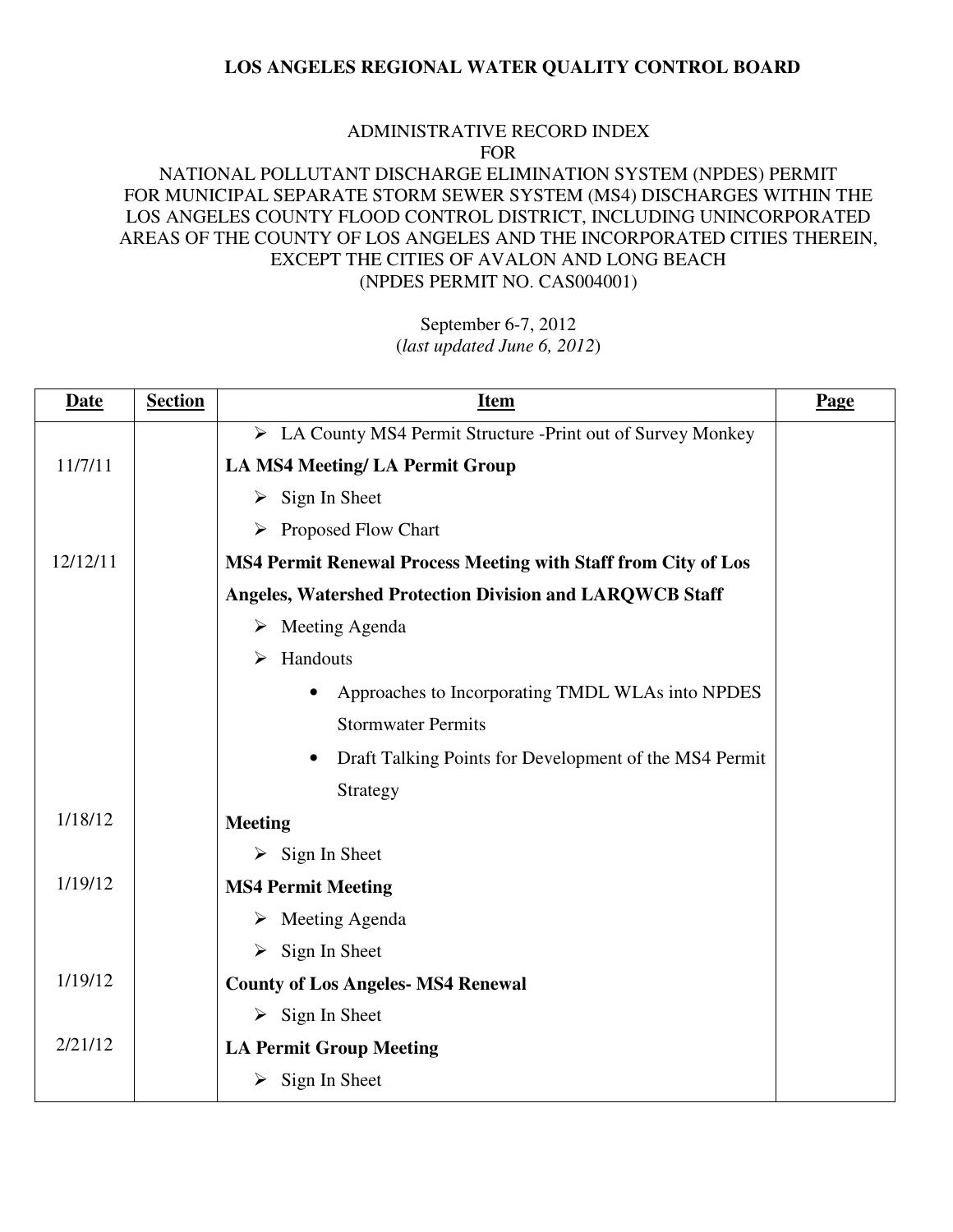#### ADMINISTRATIVE RECORD INDEX FOR

# NATIONAL POLLUTANT DISCHARGE ELIMINATION SYSTEM (NPDES) PERMIT FOR MUNICIPAL SEPARATE STORM SEWER SYSTEM (MS4) DISCHARGES WITHIN THE LOS ANGELES COUNTY FLOOD CONTROL DISTRICT, INCLUDING UNINCORPORATED AREAS OF THE COUNTY OF LOS ANGELES AND THE INCORPORATED CITIES THEREIN, EXCEPT THE CITIES OF AVALON AND LONG BEACH (NPDES PERMIT NO. CAS004001)

| <b>Date</b> | <b>Section</b> | <b>Item</b>                                                     | Page |
|-------------|----------------|-----------------------------------------------------------------|------|
|             |                | > LA County MS4 Permit Structure -Print out of Survey Monkey    |      |
| 11/7/11     |                | <b>LA MS4 Meeting/ LA Permit Group</b>                          |      |
|             |                | $\triangleright$ Sign In Sheet                                  |      |
|             |                | $\triangleright$ Proposed Flow Chart                            |      |
| 12/12/11    |                | MS4 Permit Renewal Process Meeting with Staff from City of Los  |      |
|             |                | <b>Angeles, Watershed Protection Division and LARQWCB Staff</b> |      |
|             |                | $\triangleright$ Meeting Agenda                                 |      |
|             |                | $\triangleright$ Handouts                                       |      |
|             |                | Approaches to Incorporating TMDL WLAs into NPDES                |      |
|             |                | <b>Stormwater Permits</b>                                       |      |
|             |                | Draft Talking Points for Development of the MS4 Permit          |      |
|             |                | Strategy                                                        |      |
| 1/18/12     |                | <b>Meeting</b>                                                  |      |
|             |                | $\triangleright$ Sign In Sheet                                  |      |
| 1/19/12     |                | <b>MS4 Permit Meeting</b>                                       |      |
|             |                | $\triangleright$ Meeting Agenda                                 |      |
|             |                | $\triangleright$ Sign In Sheet                                  |      |
| 1/19/12     |                | <b>County of Los Angeles- MS4 Renewal</b>                       |      |
|             |                | $\triangleright$ Sign In Sheet                                  |      |
| 2/21/12     |                | <b>LA Permit Group Meeting</b>                                  |      |
|             |                | $\triangleright$ Sign In Sheet                                  |      |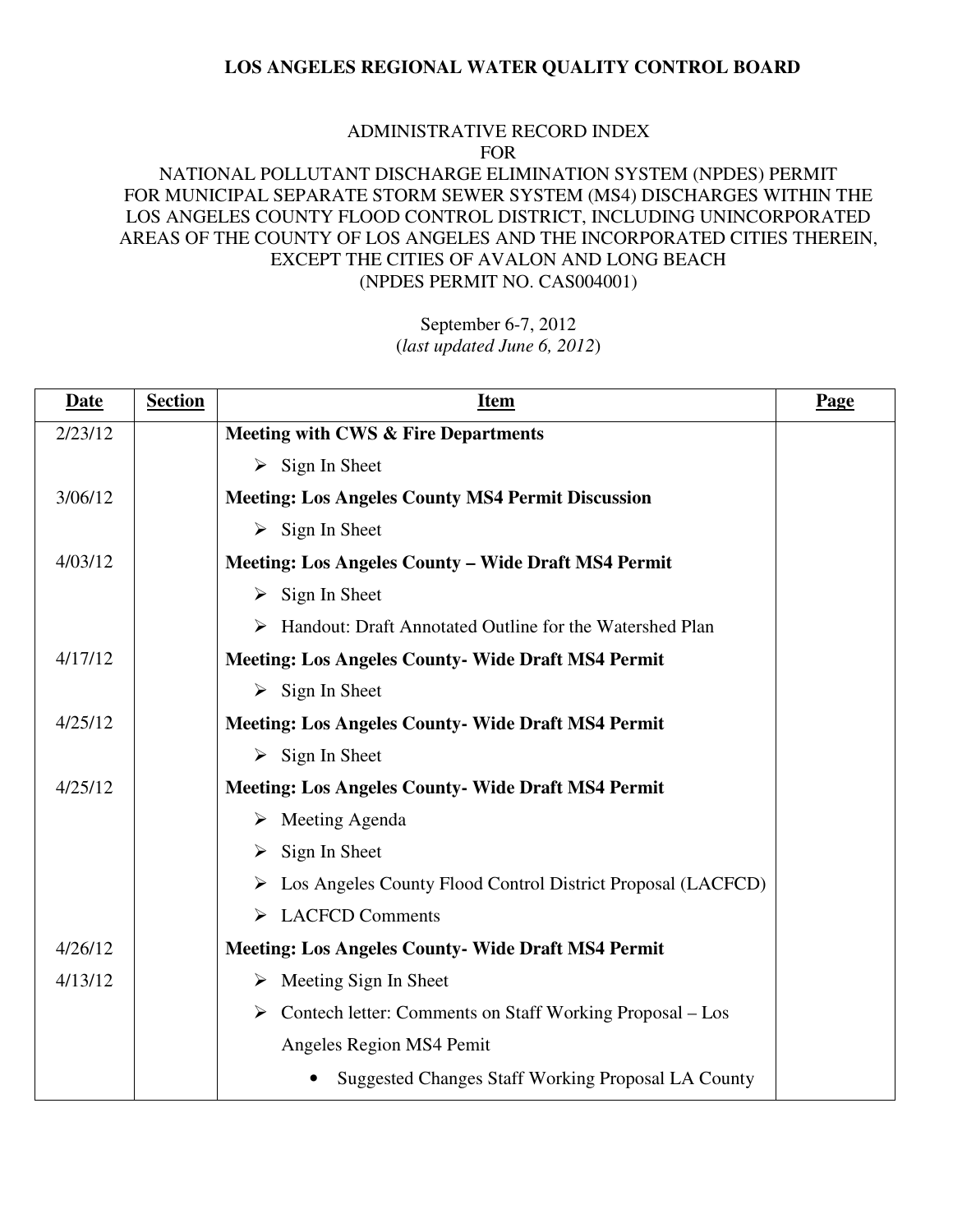#### ADMINISTRATIVE RECORD INDEX FOR

# NATIONAL POLLUTANT DISCHARGE ELIMINATION SYSTEM (NPDES) PERMIT FOR MUNICIPAL SEPARATE STORM SEWER SYSTEM (MS4) DISCHARGES WITHIN THE LOS ANGELES COUNTY FLOOD CONTROL DISTRICT, INCLUDING UNINCORPORATED AREAS OF THE COUNTY OF LOS ANGELES AND THE INCORPORATED CITIES THEREIN, EXCEPT THE CITIES OF AVALON AND LONG BEACH (NPDES PERMIT NO. CAS004001)

| <b>Date</b> | <b>Section</b> | <u>Item</u>                                                               | Page |
|-------------|----------------|---------------------------------------------------------------------------|------|
| 2/23/12     |                | <b>Meeting with CWS &amp; Fire Departments</b>                            |      |
|             |                | $\triangleright$ Sign In Sheet                                            |      |
| 3/06/12     |                | <b>Meeting: Los Angeles County MS4 Permit Discussion</b>                  |      |
|             |                | $\triangleright$ Sign In Sheet                                            |      |
| 4/03/12     |                | <b>Meeting: Los Angeles County - Wide Draft MS4 Permit</b>                |      |
|             |                | $\triangleright$ Sign In Sheet                                            |      |
|             |                | > Handout: Draft Annotated Outline for the Watershed Plan                 |      |
| 4/17/12     |                | <b>Meeting: Los Angeles County- Wide Draft MS4 Permit</b>                 |      |
|             |                | $\triangleright$ Sign In Sheet                                            |      |
| 4/25/12     |                | <b>Meeting: Los Angeles County- Wide Draft MS4 Permit</b>                 |      |
|             |                | $\triangleright$ Sign In Sheet                                            |      |
| 4/25/12     |                | <b>Meeting: Los Angeles County- Wide Draft MS4 Permit</b>                 |      |
|             |                | $\triangleright$ Meeting Agenda                                           |      |
|             |                | $\triangleright$ Sign In Sheet                                            |      |
|             |                | > Los Angeles County Flood Control District Proposal (LACFCD)             |      |
|             |                | <b>LACFCD Comments</b><br>➤                                               |      |
| 4/26/12     |                | <b>Meeting: Los Angeles County- Wide Draft MS4 Permit</b>                 |      |
| 4/13/12     |                | $\triangleright$ Meeting Sign In Sheet                                    |      |
|             |                | $\triangleright$ Contech letter: Comments on Staff Working Proposal – Los |      |
|             |                | Angeles Region MS4 Pemit                                                  |      |
|             |                | <b>Suggested Changes Staff Working Proposal LA County</b>                 |      |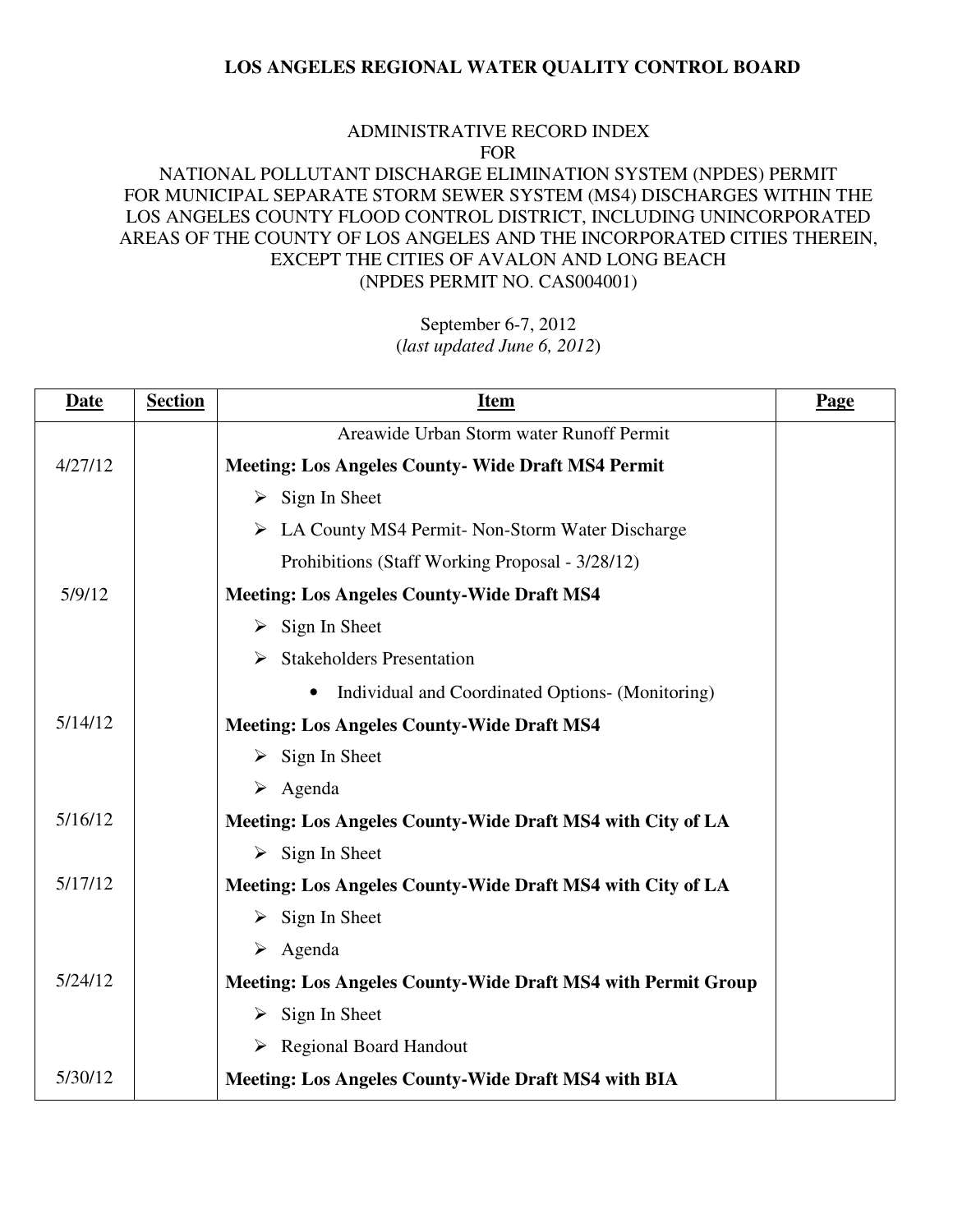#### ADMINISTRATIVE RECORD INDEX FOR

# NATIONAL POLLUTANT DISCHARGE ELIMINATION SYSTEM (NPDES) PERMIT FOR MUNICIPAL SEPARATE STORM SEWER SYSTEM (MS4) DISCHARGES WITHIN THE LOS ANGELES COUNTY FLOOD CONTROL DISTRICT, INCLUDING UNINCORPORATED AREAS OF THE COUNTY OF LOS ANGELES AND THE INCORPORATED CITIES THEREIN, EXCEPT THE CITIES OF AVALON AND LONG BEACH (NPDES PERMIT NO. CAS004001)

| <b>Date</b> | <b>Section</b> | <b>Item</b>                                                         | Page |
|-------------|----------------|---------------------------------------------------------------------|------|
|             |                | Areawide Urban Storm water Runoff Permit                            |      |
| 4/27/12     |                | <b>Meeting: Los Angeles County- Wide Draft MS4 Permit</b>           |      |
|             |                | $\triangleright$ Sign In Sheet                                      |      |
|             |                | $\triangleright$ LA County MS4 Permit-Non-Storm Water Discharge     |      |
|             |                | Prohibitions (Staff Working Proposal - 3/28/12)                     |      |
| 5/9/12      |                | <b>Meeting: Los Angeles County-Wide Draft MS4</b>                   |      |
|             |                | $\triangleright$ Sign In Sheet                                      |      |
|             |                | $\triangleright$ Stakeholders Presentation                          |      |
|             |                | Individual and Coordinated Options- (Monitoring)<br>$\bullet$       |      |
| 5/14/12     |                | <b>Meeting: Los Angeles County-Wide Draft MS4</b>                   |      |
|             |                | $\triangleright$ Sign In Sheet                                      |      |
|             |                | $\triangleright$ Agenda                                             |      |
| 5/16/12     |                | Meeting: Los Angeles County-Wide Draft MS4 with City of LA          |      |
|             |                | $\triangleright$ Sign In Sheet                                      |      |
| 5/17/12     |                | Meeting: Los Angeles County-Wide Draft MS4 with City of LA          |      |
|             |                | $\triangleright$ Sign In Sheet                                      |      |
|             |                | $\triangleright$ Agenda                                             |      |
| 5/24/12     |                | <b>Meeting: Los Angeles County-Wide Draft MS4 with Permit Group</b> |      |
|             |                | $\triangleright$ Sign In Sheet                                      |      |
|             |                | > Regional Board Handout                                            |      |
| 5/30/12     |                | <b>Meeting: Los Angeles County-Wide Draft MS4 with BIA</b>          |      |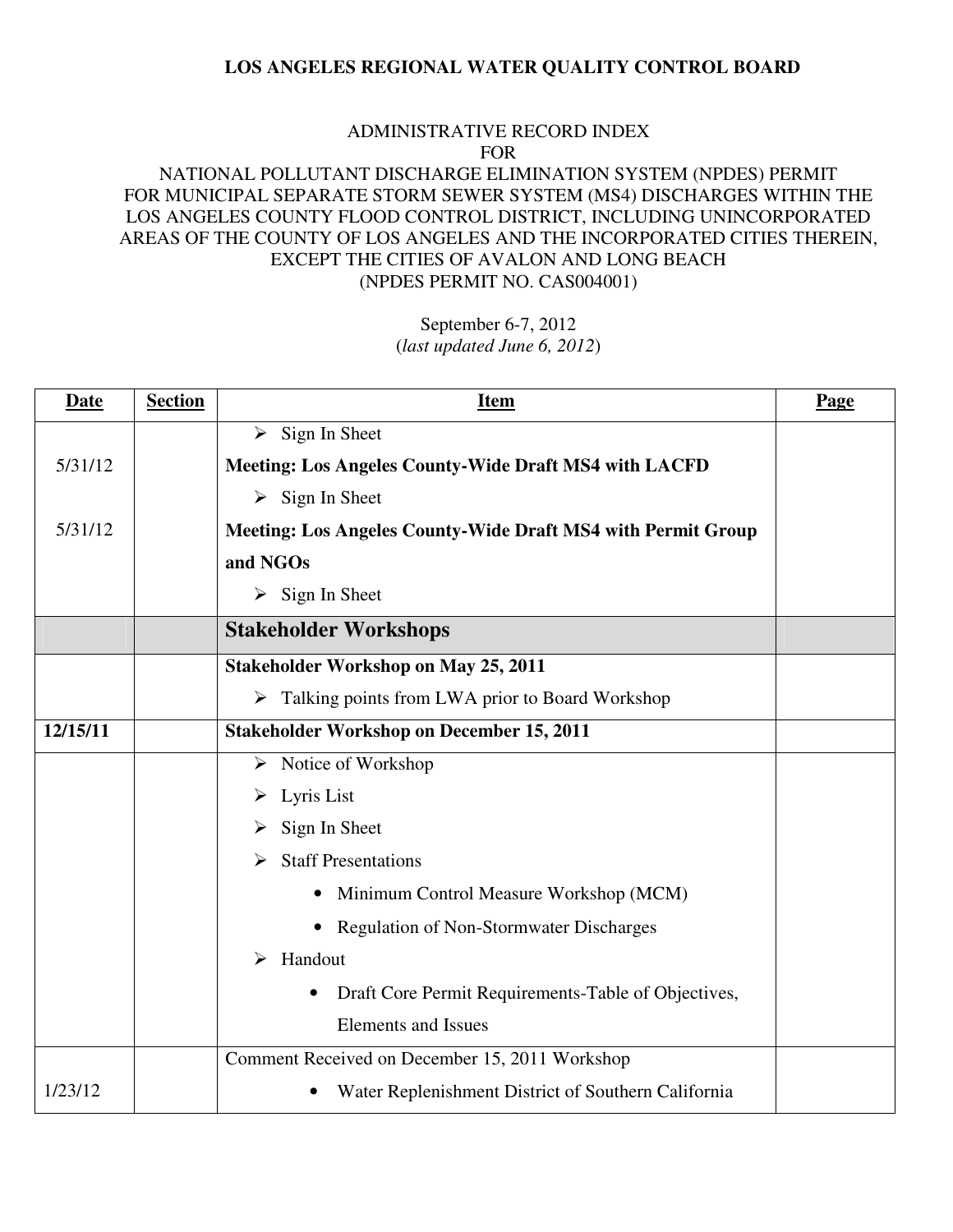#### ADMINISTRATIVE RECORD INDEX FOR

# NATIONAL POLLUTANT DISCHARGE ELIMINATION SYSTEM (NPDES) PERMIT FOR MUNICIPAL SEPARATE STORM SEWER SYSTEM (MS4) DISCHARGES WITHIN THE LOS ANGELES COUNTY FLOOD CONTROL DISTRICT, INCLUDING UNINCORPORATED AREAS OF THE COUNTY OF LOS ANGELES AND THE INCORPORATED CITIES THEREIN, EXCEPT THE CITIES OF AVALON AND LONG BEACH (NPDES PERMIT NO. CAS004001)

| <b>Date</b> | <b>Section</b> | <b>Item</b>                                                         | Page |
|-------------|----------------|---------------------------------------------------------------------|------|
|             |                | $\triangleright$ Sign In Sheet                                      |      |
| 5/31/12     |                | <b>Meeting: Los Angeles County-Wide Draft MS4 with LACFD</b>        |      |
|             |                | $\triangleright$ Sign In Sheet                                      |      |
| 5/31/12     |                | <b>Meeting: Los Angeles County-Wide Draft MS4 with Permit Group</b> |      |
|             |                | and NGOs                                                            |      |
|             |                | $\triangleright$ Sign In Sheet                                      |      |
|             |                | <b>Stakeholder Workshops</b>                                        |      |
|             |                | <b>Stakeholder Workshop on May 25, 2011</b>                         |      |
|             |                | $\triangleright$ Talking points from LWA prior to Board Workshop    |      |
| 12/15/11    |                | <b>Stakeholder Workshop on December 15, 2011</b>                    |      |
|             |                | $\triangleright$ Notice of Workshop                                 |      |
|             |                | $\triangleright$ Lyris List                                         |      |
|             |                | Sign In Sheet                                                       |      |
|             |                | <b>Staff Presentations</b>                                          |      |
|             |                | Minimum Control Measure Workshop (MCM)                              |      |
|             |                | <b>Regulation of Non-Stormwater Discharges</b>                      |      |
|             |                | Handout<br>≻                                                        |      |
|             |                | Draft Core Permit Requirements-Table of Objectives,<br>$\bullet$    |      |
|             |                | <b>Elements and Issues</b>                                          |      |
|             |                | Comment Received on December 15, 2011 Workshop                      |      |
| 1/23/12     |                | Water Replenishment District of Southern California                 |      |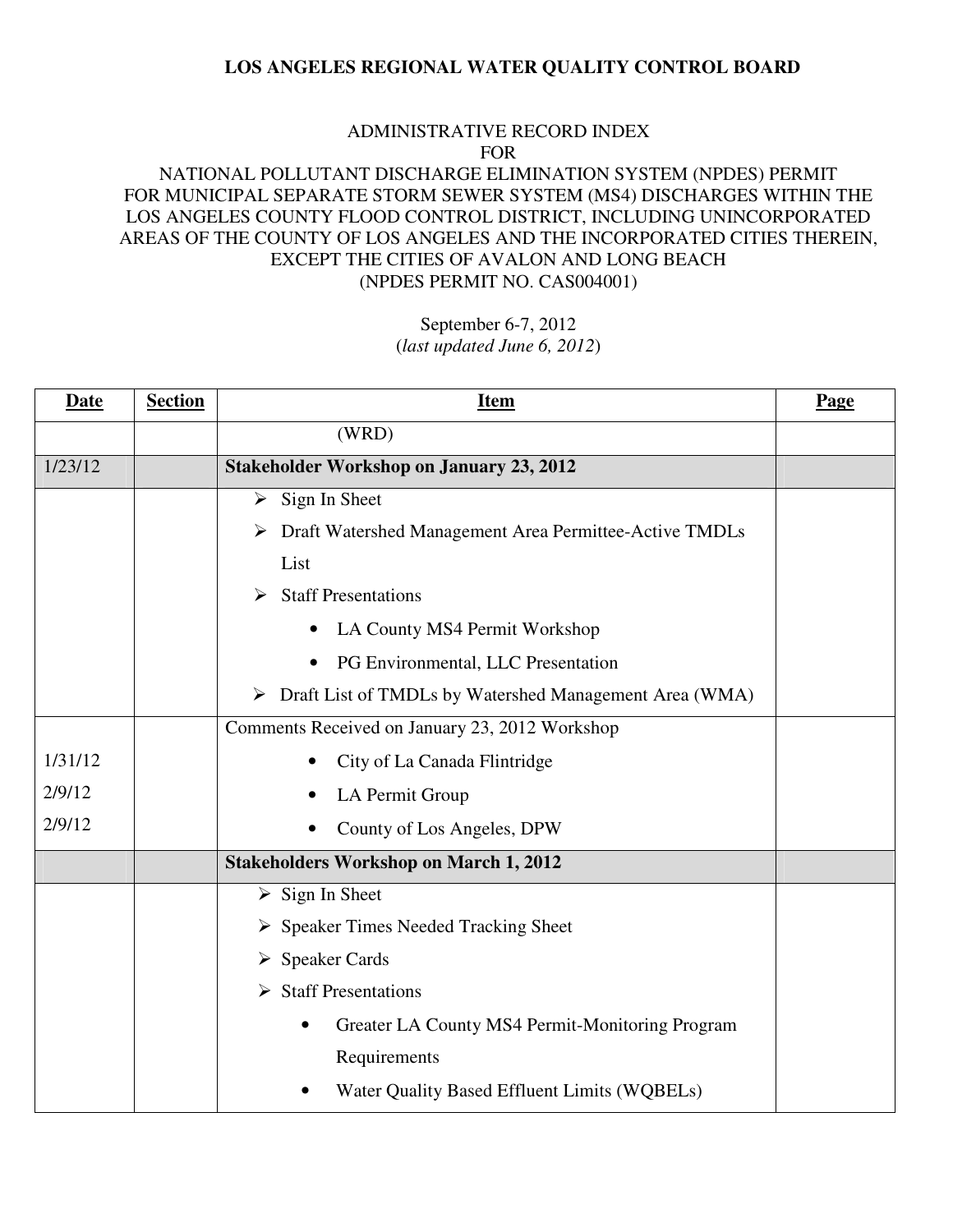#### ADMINISTRATIVE RECORD INDEX FOR

# NATIONAL POLLUTANT DISCHARGE ELIMINATION SYSTEM (NPDES) PERMIT FOR MUNICIPAL SEPARATE STORM SEWER SYSTEM (MS4) DISCHARGES WITHIN THE LOS ANGELES COUNTY FLOOD CONTROL DISTRICT, INCLUDING UNINCORPORATED AREAS OF THE COUNTY OF LOS ANGELES AND THE INCORPORATED CITIES THEREIN, EXCEPT THE CITIES OF AVALON AND LONG BEACH (NPDES PERMIT NO. CAS004001)

| <b>Date</b> | <b>Section</b> | <b>Item</b>                                              | Page |
|-------------|----------------|----------------------------------------------------------|------|
|             |                | (WRD)                                                    |      |
| 1/23/12     |                | <b>Stakeholder Workshop on January 23, 2012</b>          |      |
|             |                | $\triangleright$ Sign In Sheet                           |      |
|             |                | > Draft Watershed Management Area Permittee-Active TMDLs |      |
|             |                | List                                                     |      |
|             |                | $\triangleright$ Staff Presentations                     |      |
|             |                | LA County MS4 Permit Workshop<br>$\bullet$               |      |
|             |                | PG Environmental, LLC Presentation<br>$\bullet$          |      |
|             |                | > Draft List of TMDLs by Watershed Management Area (WMA) |      |
|             |                | Comments Received on January 23, 2012 Workshop           |      |
| 1/31/12     |                | City of La Canada Flintridge                             |      |
| 2/9/12      |                | LA Permit Group                                          |      |
| 2/9/12      |                | County of Los Angeles, DPW                               |      |
|             |                | <b>Stakeholders Workshop on March 1, 2012</b>            |      |
|             |                | $\triangleright$ Sign In Sheet                           |      |
|             |                | $\triangleright$ Speaker Times Needed Tracking Sheet     |      |
|             |                | $\triangleright$ Speaker Cards                           |      |
|             |                | $\triangleright$ Staff Presentations                     |      |
|             |                | Greater LA County MS4 Permit-Monitoring Program          |      |
|             |                | Requirements                                             |      |
|             |                | Water Quality Based Effluent Limits (WQBELs)             |      |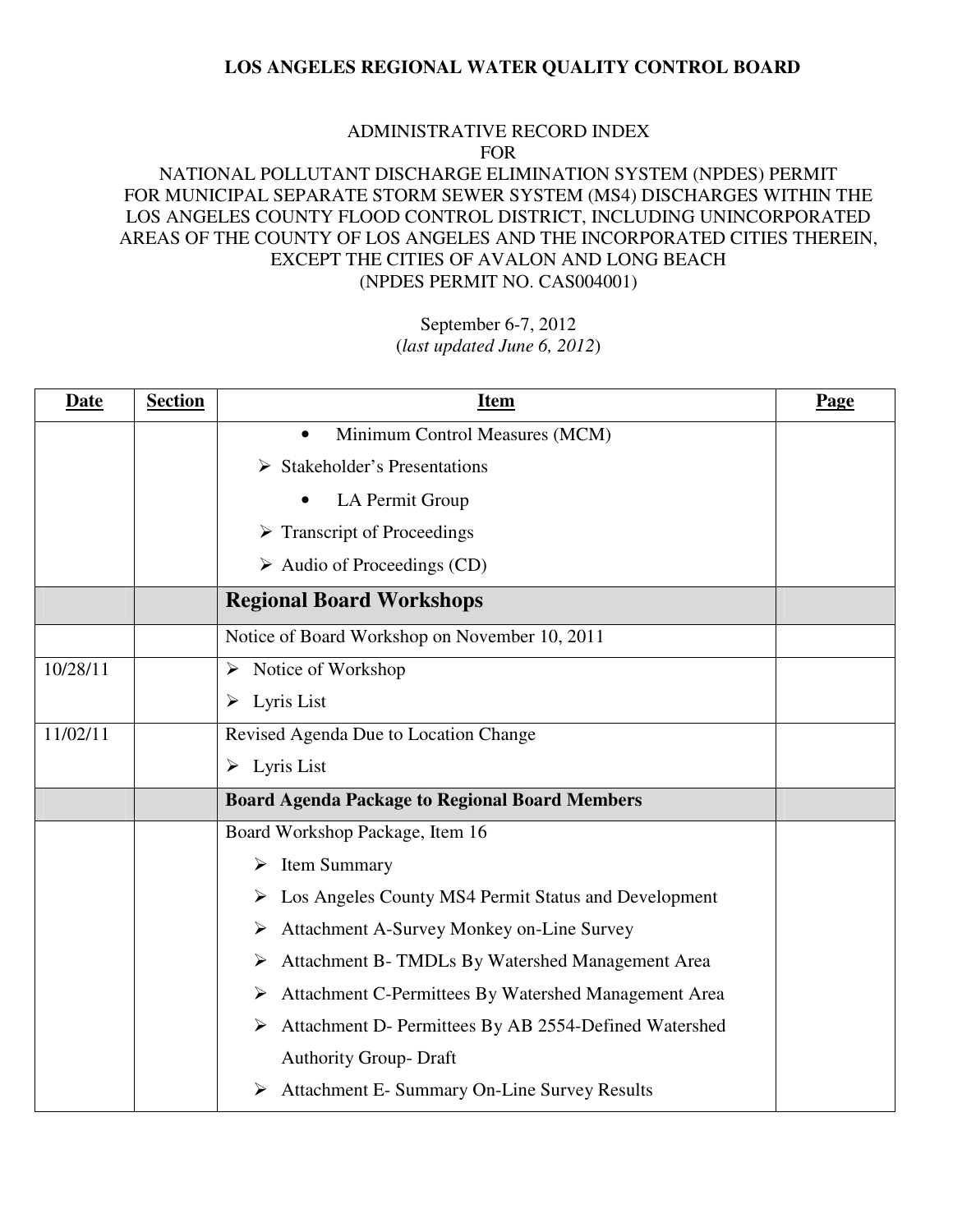#### ADMINISTRATIVE RECORD INDEX FOR

# NATIONAL POLLUTANT DISCHARGE ELIMINATION SYSTEM (NPDES) PERMIT FOR MUNICIPAL SEPARATE STORM SEWER SYSTEM (MS4) DISCHARGES WITHIN THE LOS ANGELES COUNTY FLOOD CONTROL DISTRICT, INCLUDING UNINCORPORATED AREAS OF THE COUNTY OF LOS ANGELES AND THE INCORPORATED CITIES THEREIN, EXCEPT THE CITIES OF AVALON AND LONG BEACH (NPDES PERMIT NO. CAS004001)

| <b>Date</b> | <b>Section</b> | <b>Item</b>                                                           | Page |
|-------------|----------------|-----------------------------------------------------------------------|------|
|             |                | Minimum Control Measures (MCM)<br>$\bullet$                           |      |
|             |                | <b>Stakeholder's Presentations</b><br>➤                               |      |
|             |                | LA Permit Group                                                       |      |
|             |                | $\triangleright$ Transcript of Proceedings                            |      |
|             |                | $\triangleright$ Audio of Proceedings (CD)                            |      |
|             |                | <b>Regional Board Workshops</b>                                       |      |
|             |                | Notice of Board Workshop on November 10, 2011                         |      |
| 10/28/11    |                | $\triangleright$ Notice of Workshop                                   |      |
|             |                | $\triangleright$ Lyris List                                           |      |
| 11/02/11    |                | Revised Agenda Due to Location Change                                 |      |
|             |                | $\triangleright$ Lyris List                                           |      |
|             |                | <b>Board Agenda Package to Regional Board Members</b>                 |      |
|             |                | Board Workshop Package, Item 16                                       |      |
|             |                | $\triangleright$ Item Summary                                         |      |
|             |                | $\triangleright$ Los Angeles County MS4 Permit Status and Development |      |
|             |                | Attachment A-Survey Monkey on-Line Survey<br>➤                        |      |
|             |                | Attachment B- TMDLs By Watershed Management Area<br>➤                 |      |
|             |                | Attachment C-Permittees By Watershed Management Area<br>➤             |      |
|             |                | Attachment D- Permittees By AB 2554-Defined Watershed<br>➤            |      |
|             |                | <b>Authority Group- Draft</b>                                         |      |
|             |                | <b>Attachment E- Summary On-Line Survey Results</b>                   |      |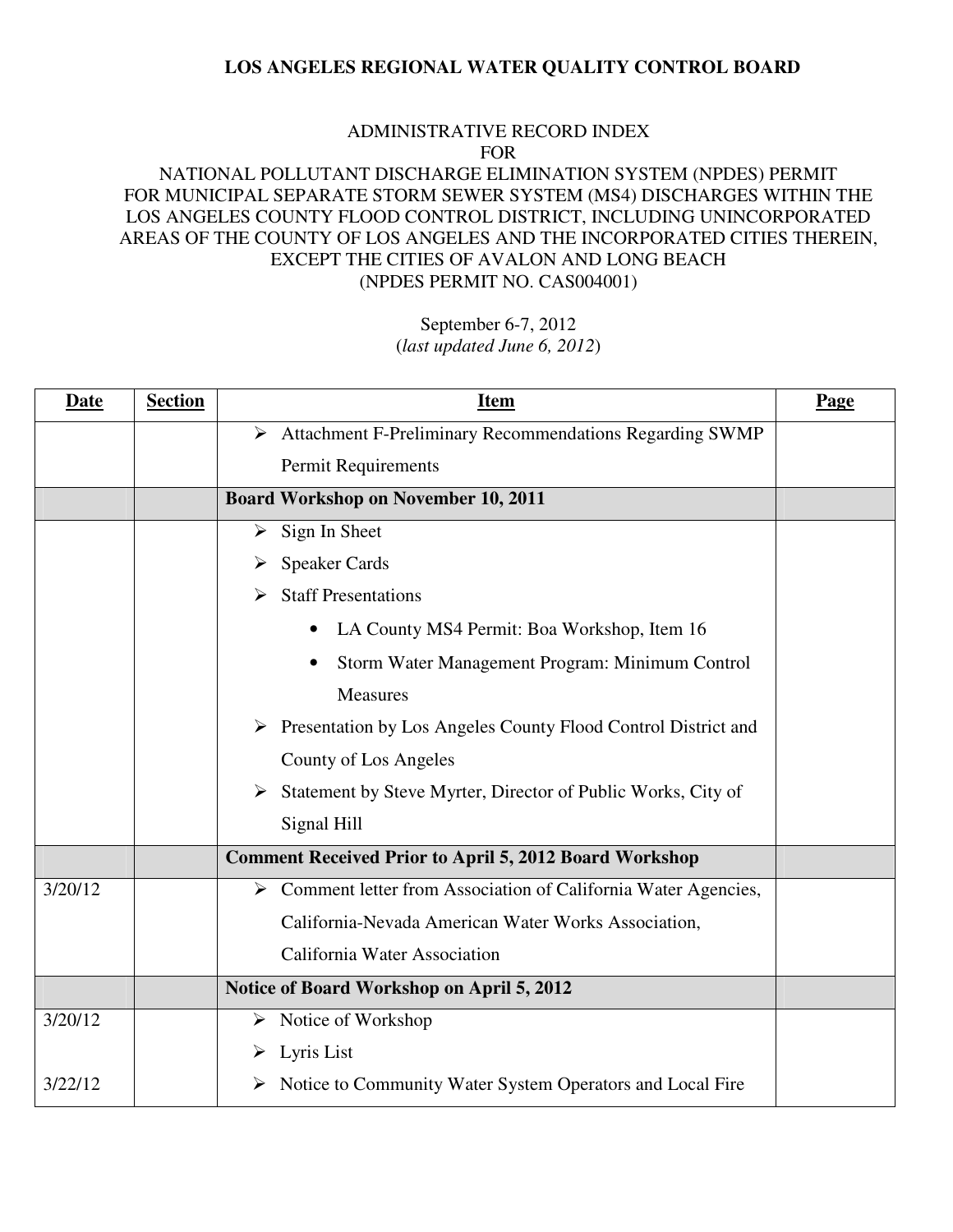#### ADMINISTRATIVE RECORD INDEX FOR

# NATIONAL POLLUTANT DISCHARGE ELIMINATION SYSTEM (NPDES) PERMIT FOR MUNICIPAL SEPARATE STORM SEWER SYSTEM (MS4) DISCHARGES WITHIN THE LOS ANGELES COUNTY FLOOD CONTROL DISTRICT, INCLUDING UNINCORPORATED AREAS OF THE COUNTY OF LOS ANGELES AND THE INCORPORATED CITIES THEREIN, EXCEPT THE CITIES OF AVALON AND LONG BEACH (NPDES PERMIT NO. CAS004001)

| <b>Date</b> | <b>Section</b> | <b>Item</b>                                                                    | Page |
|-------------|----------------|--------------------------------------------------------------------------------|------|
|             |                | > Attachment F-Preliminary Recommendations Regarding SWMP                      |      |
|             |                | Permit Requirements                                                            |      |
|             |                | <b>Board Workshop on November 10, 2011</b>                                     |      |
|             |                | $\triangleright$ Sign In Sheet                                                 |      |
|             |                | $\triangleright$ Speaker Cards                                                 |      |
|             |                | <b>Staff Presentations</b><br>➤                                                |      |
|             |                | LA County MS4 Permit: Boa Workshop, Item 16                                    |      |
|             |                | Storm Water Management Program: Minimum Control                                |      |
|             |                | <b>Measures</b>                                                                |      |
|             |                | $\triangleright$ Presentation by Los Angeles County Flood Control District and |      |
|             |                | County of Los Angeles                                                          |      |
|             |                | Statement by Steve Myrter, Director of Public Works, City of                   |      |
|             |                | Signal Hill                                                                    |      |
|             |                | <b>Comment Received Prior to April 5, 2012 Board Workshop</b>                  |      |
| 3/20/12     |                | > Comment letter from Association of California Water Agencies,                |      |
|             |                | California-Nevada American Water Works Association,                            |      |
|             |                | California Water Association                                                   |      |
|             |                | Notice of Board Workshop on April 5, 2012                                      |      |
| 3/20/12     |                | $\triangleright$ Notice of Workshop                                            |      |
|             |                | $\triangleright$ Lyris List                                                    |      |
| 3/22/12     |                | > Notice to Community Water System Operators and Local Fire                    |      |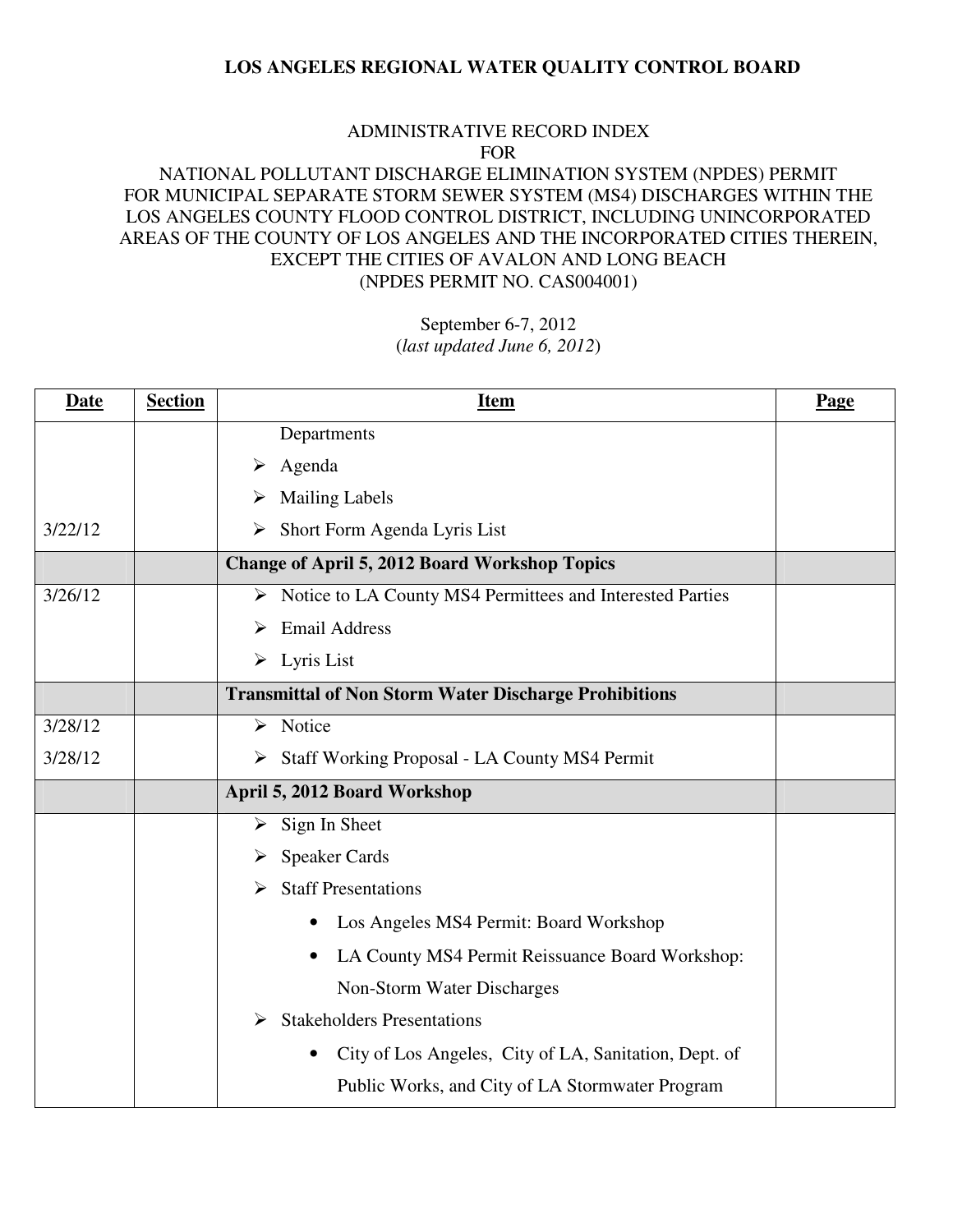#### ADMINISTRATIVE RECORD INDEX FOR

# NATIONAL POLLUTANT DISCHARGE ELIMINATION SYSTEM (NPDES) PERMIT FOR MUNICIPAL SEPARATE STORM SEWER SYSTEM (MS4) DISCHARGES WITHIN THE LOS ANGELES COUNTY FLOOD CONTROL DISTRICT, INCLUDING UNINCORPORATED AREAS OF THE COUNTY OF LOS ANGELES AND THE INCORPORATED CITIES THEREIN, EXCEPT THE CITIES OF AVALON AND LONG BEACH (NPDES PERMIT NO. CAS004001)

| <b>Date</b> | <b>Section</b> | <u>Item</u>                                                  | <b>Page</b> |
|-------------|----------------|--------------------------------------------------------------|-------------|
|             |                | Departments                                                  |             |
|             |                | $\triangleright$ Agenda                                      |             |
|             |                | <b>Mailing Labels</b><br>➤                                   |             |
| 3/22/12     |                | $\triangleright$ Short Form Agenda Lyris List                |             |
|             |                | <b>Change of April 5, 2012 Board Workshop Topics</b>         |             |
| 3/26/12     |                | > Notice to LA County MS4 Permittees and Interested Parties  |             |
|             |                | <b>Email Address</b><br>➤                                    |             |
|             |                | $\triangleright$ Lyris List                                  |             |
|             |                | <b>Transmittal of Non Storm Water Discharge Prohibitions</b> |             |
| 3/28/12     |                | $\triangleright$ Notice                                      |             |
| 3/28/12     |                | Staff Working Proposal - LA County MS4 Permit                |             |
|             |                | April 5, 2012 Board Workshop                                 |             |
|             |                | $\triangleright$ Sign In Sheet                               |             |
|             |                | <b>Speaker Cards</b><br>➤                                    |             |
|             |                | <b>Staff Presentations</b><br>➤                              |             |
|             |                | Los Angeles MS4 Permit: Board Workshop<br>$\bullet$          |             |
|             |                | LA County MS4 Permit Reissuance Board Workshop:<br>$\bullet$ |             |
|             |                | Non-Storm Water Discharges                                   |             |
|             |                | <b>Stakeholders Presentations</b><br>$\blacktriangleright$   |             |
|             |                | City of Los Angeles, City of LA, Sanitation, Dept. of        |             |
|             |                | Public Works, and City of LA Stormwater Program              |             |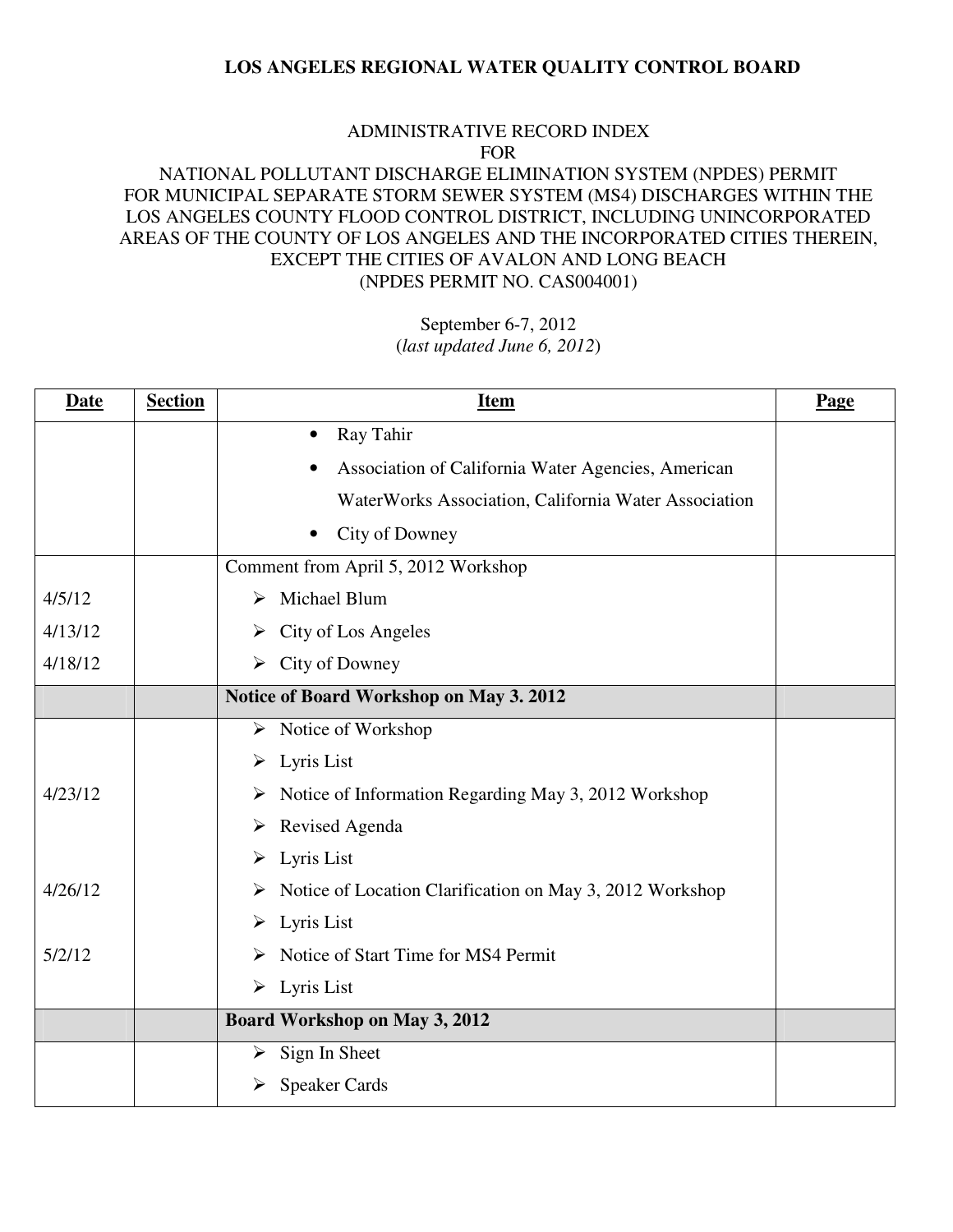#### ADMINISTRATIVE RECORD INDEX FOR

# NATIONAL POLLUTANT DISCHARGE ELIMINATION SYSTEM (NPDES) PERMIT FOR MUNICIPAL SEPARATE STORM SEWER SYSTEM (MS4) DISCHARGES WITHIN THE LOS ANGELES COUNTY FLOOD CONTROL DISTRICT, INCLUDING UNINCORPORATED AREAS OF THE COUNTY OF LOS ANGELES AND THE INCORPORATED CITIES THEREIN, EXCEPT THE CITIES OF AVALON AND LONG BEACH (NPDES PERMIT NO. CAS004001)

| <b>Date</b> | <b>Section</b> | <u>Item</u>                                                               | Page |
|-------------|----------------|---------------------------------------------------------------------------|------|
|             |                | Ray Tahir<br>$\bullet$                                                    |      |
|             |                | Association of California Water Agencies, American                        |      |
|             |                | WaterWorks Association, California Water Association                      |      |
|             |                | City of Downey                                                            |      |
|             |                | Comment from April 5, 2012 Workshop                                       |      |
| 4/5/12      |                | $\triangleright$ Michael Blum                                             |      |
| 4/13/12     |                | $\triangleright$ City of Los Angeles                                      |      |
| 4/18/12     |                | $\triangleright$ City of Downey                                           |      |
|             |                | Notice of Board Workshop on May 3. 2012                                   |      |
|             |                | $\triangleright$ Notice of Workshop                                       |      |
|             |                | $\triangleright$ Lyris List                                               |      |
| 4/23/12     |                | $\triangleright$ Notice of Information Regarding May 3, 2012 Workshop     |      |
|             |                | $\triangleright$ Revised Agenda                                           |      |
|             |                | $\triangleright$ Lyris List                                               |      |
| 4/26/12     |                | $\triangleright$ Notice of Location Clarification on May 3, 2012 Workshop |      |
|             |                | $\triangleright$ Lyris List                                               |      |
| 5/2/12      |                | Notice of Start Time for MS4 Permit<br>➤                                  |      |
|             |                | $\triangleright$ Lyris List                                               |      |
|             |                | <b>Board Workshop on May 3, 2012</b>                                      |      |
|             |                | $\triangleright$ Sign In Sheet                                            |      |
|             |                | $\triangleright$ Speaker Cards                                            |      |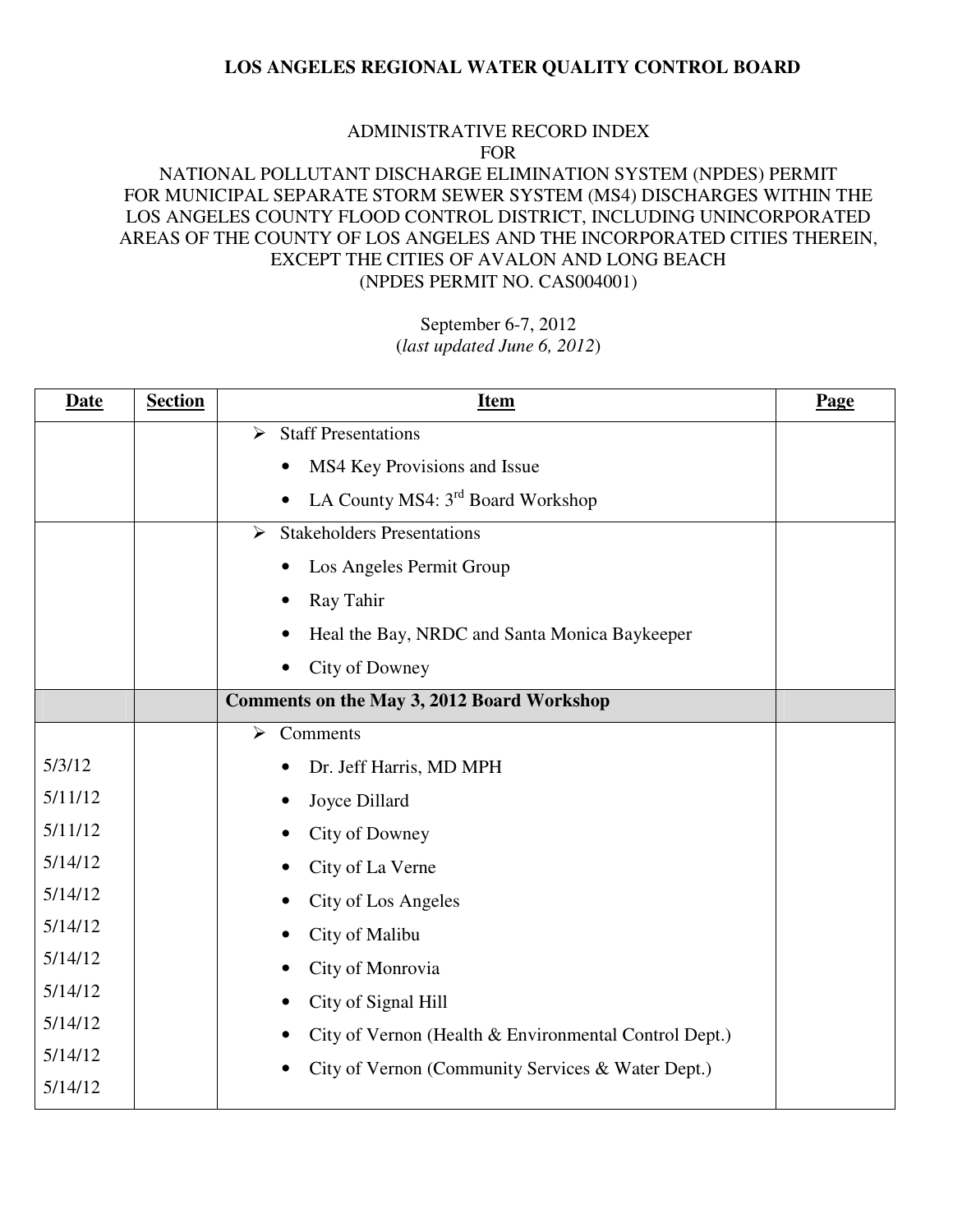#### ADMINISTRATIVE RECORD INDEX FOR

# NATIONAL POLLUTANT DISCHARGE ELIMINATION SYSTEM (NPDES) PERMIT FOR MUNICIPAL SEPARATE STORM SEWER SYSTEM (MS4) DISCHARGES WITHIN THE LOS ANGELES COUNTY FLOOD CONTROL DISTRICT, INCLUDING UNINCORPORATED AREAS OF THE COUNTY OF LOS ANGELES AND THE INCORPORATED CITIES THEREIN, EXCEPT THE CITIES OF AVALON AND LONG BEACH (NPDES PERMIT NO. CAS004001)

| <b>Date</b> | <b>Section</b> | <b>Item</b>                                           | Page |
|-------------|----------------|-------------------------------------------------------|------|
|             |                | <b>Staff Presentations</b><br>$\blacktriangleright$   |      |
|             |                | MS4 Key Provisions and Issue                          |      |
|             |                | LA County MS4: 3rd Board Workshop                     |      |
|             |                | <b>Stakeholders Presentations</b><br>$\triangleright$ |      |
|             |                | Los Angeles Permit Group                              |      |
|             |                | Ray Tahir                                             |      |
|             |                | Heal the Bay, NRDC and Santa Monica Baykeeper         |      |
|             |                | City of Downey                                        |      |
|             |                | <b>Comments on the May 3, 2012 Board Workshop</b>     |      |
|             |                | Comments<br>$\blacktriangleright$                     |      |
| 5/3/12      |                | Dr. Jeff Harris, MD MPH                               |      |
| 5/11/12     |                | Joyce Dillard                                         |      |
| 5/11/12     |                | City of Downey                                        |      |
| 5/14/12     |                | City of La Verne                                      |      |
| 5/14/12     |                | City of Los Angeles                                   |      |
| 5/14/12     |                | City of Malibu                                        |      |
| 5/14/12     |                | City of Monrovia                                      |      |
| 5/14/12     |                | City of Signal Hill                                   |      |
| 5/14/12     |                | City of Vernon (Health & Environmental Control Dept.) |      |
| 5/14/12     |                | City of Vernon (Community Services & Water Dept.)     |      |
| 5/14/12     |                |                                                       |      |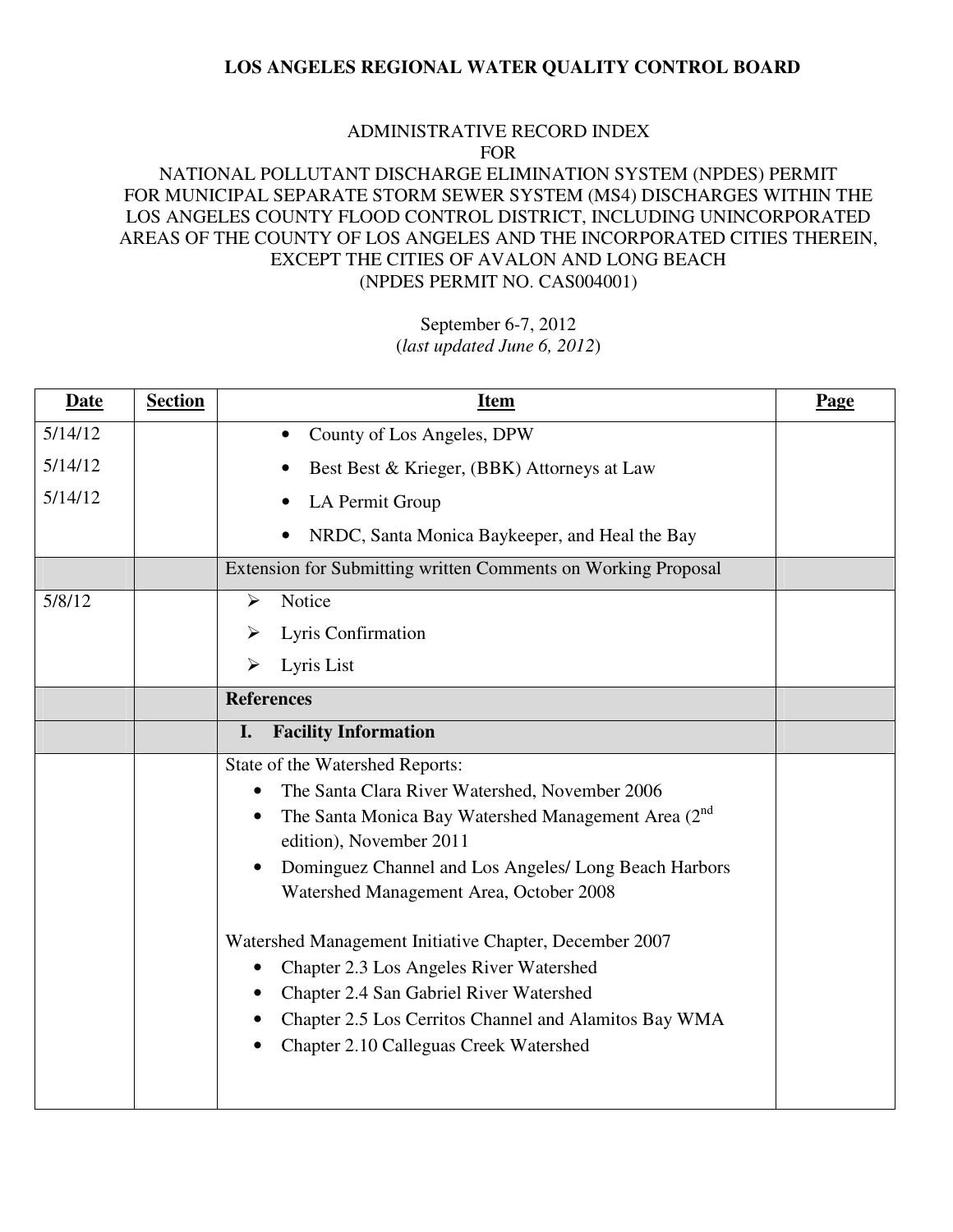#### ADMINISTRATIVE RECORD INDEX FOR

# NATIONAL POLLUTANT DISCHARGE ELIMINATION SYSTEM (NPDES) PERMIT FOR MUNICIPAL SEPARATE STORM SEWER SYSTEM (MS4) DISCHARGES WITHIN THE LOS ANGELES COUNTY FLOOD CONTROL DISTRICT, INCLUDING UNINCORPORATED AREAS OF THE COUNTY OF LOS ANGELES AND THE INCORPORATED CITIES THEREIN, EXCEPT THE CITIES OF AVALON AND LONG BEACH (NPDES PERMIT NO. CAS004001)

| <b>Date</b> | <b>Section</b> | <u>Item</u>                                                                                  | <b>Page</b> |
|-------------|----------------|----------------------------------------------------------------------------------------------|-------------|
| 5/14/12     |                | County of Los Angeles, DPW                                                                   |             |
| 5/14/12     |                | Best Best & Krieger, (BBK) Attorneys at Law                                                  |             |
| 5/14/12     |                | LA Permit Group                                                                              |             |
|             |                | NRDC, Santa Monica Baykeeper, and Heal the Bay                                               |             |
|             |                | Extension for Submitting written Comments on Working Proposal                                |             |
| 5/8/12      |                | Notice<br>⋗                                                                                  |             |
|             |                | Lyris Confirmation<br>➤                                                                      |             |
|             |                | Lyris List<br>➤                                                                              |             |
|             |                | <b>References</b>                                                                            |             |
|             |                | <b>Facility Information</b><br>I.                                                            |             |
|             |                | State of the Watershed Reports:                                                              |             |
|             |                | The Santa Clara River Watershed, November 2006<br>$\bullet$                                  |             |
|             |                | The Santa Monica Bay Watershed Management Area (2 <sup>nd</sup> )<br>edition), November 2011 |             |
|             |                | Dominguez Channel and Los Angeles/ Long Beach Harbors<br>$\bullet$                           |             |
|             |                | Watershed Management Area, October 2008                                                      |             |
|             |                | Watershed Management Initiative Chapter, December 2007                                       |             |
|             |                | Chapter 2.3 Los Angeles River Watershed<br>$\bullet$                                         |             |
|             |                | Chapter 2.4 San Gabriel River Watershed<br>٠                                                 |             |
|             |                | Chapter 2.5 Los Cerritos Channel and Alamitos Bay WMA                                        |             |
|             |                | Chapter 2.10 Calleguas Creek Watershed                                                       |             |
|             |                |                                                                                              |             |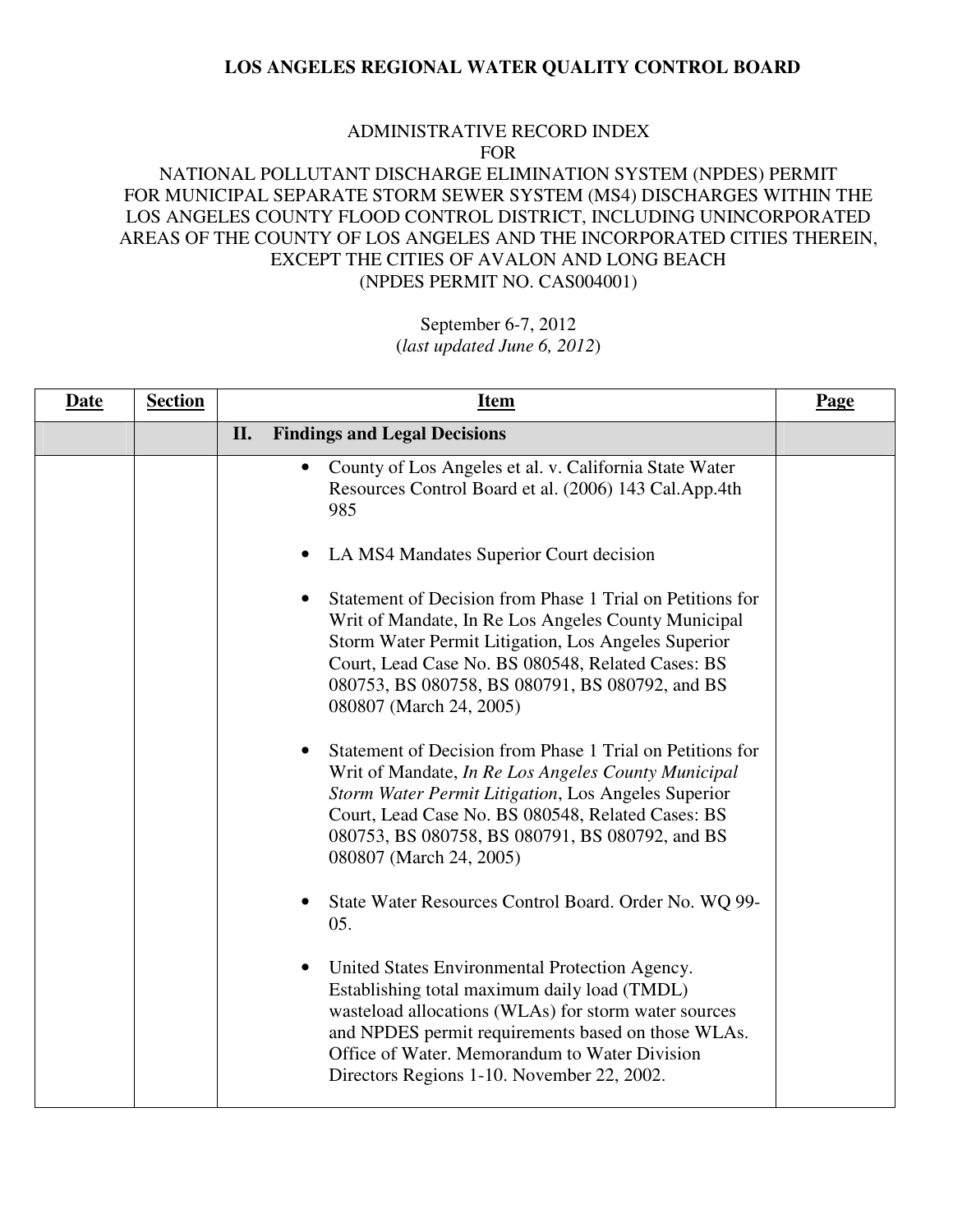#### ADMINISTRATIVE RECORD INDEX FOR

# NATIONAL POLLUTANT DISCHARGE ELIMINATION SYSTEM (NPDES) PERMIT FOR MUNICIPAL SEPARATE STORM SEWER SYSTEM (MS4) DISCHARGES WITHIN THE LOS ANGELES COUNTY FLOOD CONTROL DISTRICT, INCLUDING UNINCORPORATED AREAS OF THE COUNTY OF LOS ANGELES AND THE INCORPORATED CITIES THEREIN, EXCEPT THE CITIES OF AVALON AND LONG BEACH (NPDES PERMIT NO. CAS004001)

| <b>Date</b> | <b>Section</b> | <b>Item</b>                                                                                                                                                                                                                                                                                                                                                                                                                                                                    | Page |
|-------------|----------------|--------------------------------------------------------------------------------------------------------------------------------------------------------------------------------------------------------------------------------------------------------------------------------------------------------------------------------------------------------------------------------------------------------------------------------------------------------------------------------|------|
|             |                | II.<br><b>Findings and Legal Decisions</b>                                                                                                                                                                                                                                                                                                                                                                                                                                     |      |
|             |                | County of Los Angeles et al. v. California State Water<br>$\bullet$<br>Resources Control Board et al. (2006) 143 Cal.App.4th<br>985<br>LA MS4 Mandates Superior Court decision<br>$\bullet$<br>Statement of Decision from Phase 1 Trial on Petitions for<br>Writ of Mandate, In Re Los Angeles County Municipal<br>Storm Water Permit Litigation, Los Angeles Superior<br>Court, Lead Case No. BS 080548, Related Cases: BS<br>080753, BS 080758, BS 080791, BS 080792, and BS |      |
|             |                | 080807 (March 24, 2005)<br>Statement of Decision from Phase 1 Trial on Petitions for<br>$\bullet$<br>Writ of Mandate, In Re Los Angeles County Municipal<br>Storm Water Permit Litigation, Los Angeles Superior<br>Court, Lead Case No. BS 080548, Related Cases: BS<br>080753, BS 080758, BS 080791, BS 080792, and BS<br>080807 (March 24, 2005)                                                                                                                             |      |
|             |                | State Water Resources Control Board. Order No. WQ 99-<br>05.                                                                                                                                                                                                                                                                                                                                                                                                                   |      |
|             |                | United States Environmental Protection Agency.<br>$\bullet$<br>Establishing total maximum daily load (TMDL)<br>wasteload allocations (WLAs) for storm water sources<br>and NPDES permit requirements based on those WLAs.<br>Office of Water. Memorandum to Water Division<br>Directors Regions 1-10. November 22, 2002.                                                                                                                                                       |      |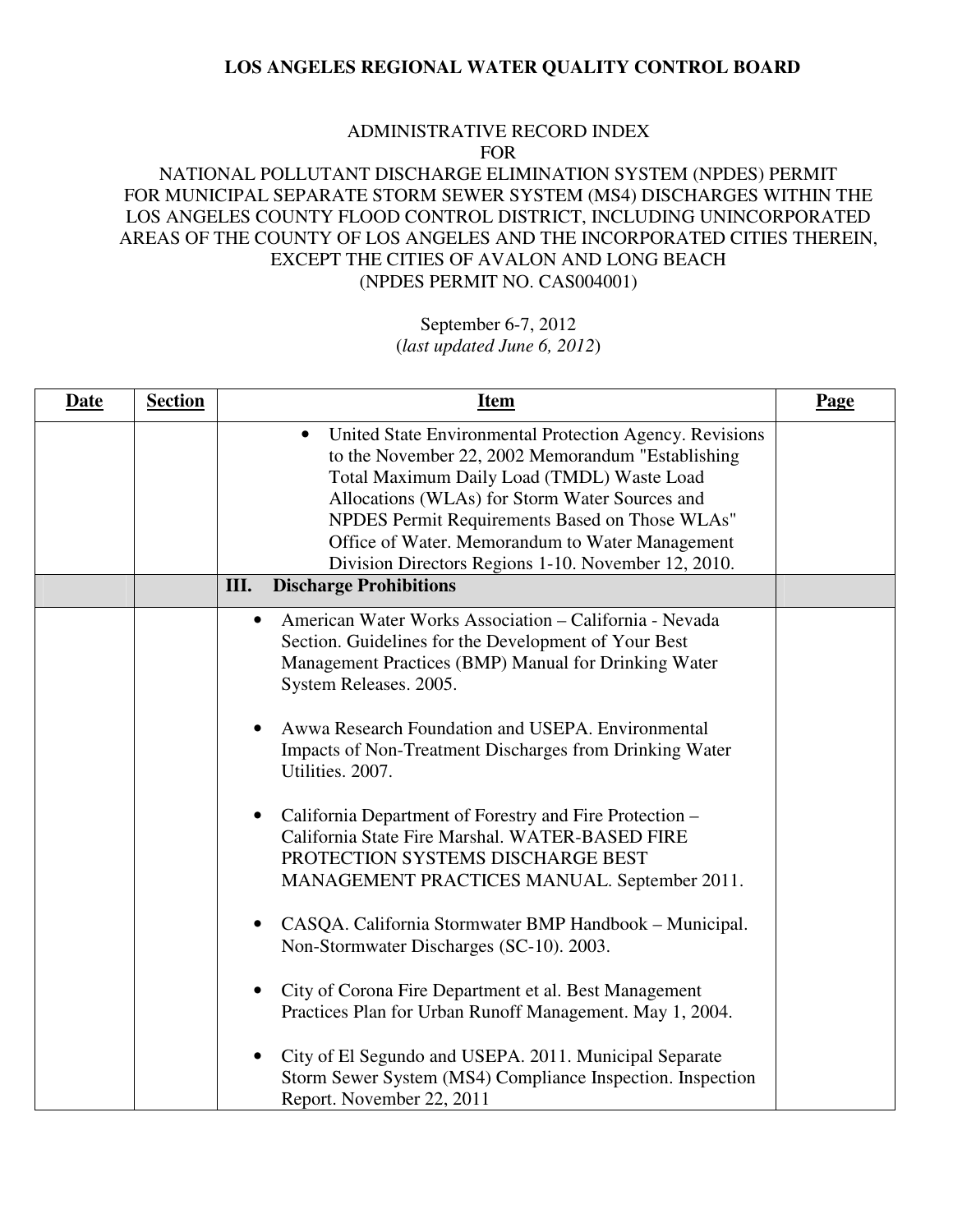#### ADMINISTRATIVE RECORD INDEX FOR

### NATIONAL POLLUTANT DISCHARGE ELIMINATION SYSTEM (NPDES) PERMIT FOR MUNICIPAL SEPARATE STORM SEWER SYSTEM (MS4) DISCHARGES WITHIN THE LOS ANGELES COUNTY FLOOD CONTROL DISTRICT, INCLUDING UNINCORPORATED AREAS OF THE COUNTY OF LOS ANGELES AND THE INCORPORATED CITIES THEREIN, EXCEPT THE CITIES OF AVALON AND LONG BEACH (NPDES PERMIT NO. CAS004001)

# September 6-7, 2012

(*last updated June 6, 2012*)

| <b>Date</b><br><b>Section</b> | <b>Item</b>                                                                                                                                                                                                                                                                                                                                                                                                                                                                                                                                                                                                                                                                                                                                                                                                                                                                                                                                                                 | Page |
|-------------------------------|-----------------------------------------------------------------------------------------------------------------------------------------------------------------------------------------------------------------------------------------------------------------------------------------------------------------------------------------------------------------------------------------------------------------------------------------------------------------------------------------------------------------------------------------------------------------------------------------------------------------------------------------------------------------------------------------------------------------------------------------------------------------------------------------------------------------------------------------------------------------------------------------------------------------------------------------------------------------------------|------|
|                               | United State Environmental Protection Agency. Revisions<br>$\bullet$<br>to the November 22, 2002 Memorandum "Establishing<br>Total Maximum Daily Load (TMDL) Waste Load<br>Allocations (WLAs) for Storm Water Sources and<br>NPDES Permit Requirements Based on Those WLAs"<br>Office of Water. Memorandum to Water Management<br>Division Directors Regions 1-10. November 12, 2010.                                                                                                                                                                                                                                                                                                                                                                                                                                                                                                                                                                                       |      |
|                               | III.<br><b>Discharge Prohibitions</b>                                                                                                                                                                                                                                                                                                                                                                                                                                                                                                                                                                                                                                                                                                                                                                                                                                                                                                                                       |      |
|                               | American Water Works Association - California - Nevada<br>$\bullet$<br>Section. Guidelines for the Development of Your Best<br>Management Practices (BMP) Manual for Drinking Water<br>System Releases. 2005.<br>Awwa Research Foundation and USEPA. Environmental<br>Impacts of Non-Treatment Discharges from Drinking Water<br>Utilities. 2007.<br>California Department of Forestry and Fire Protection –<br>$\bullet$<br>California State Fire Marshal. WATER-BASED FIRE<br>PROTECTION SYSTEMS DISCHARGE BEST<br>MANAGEMENT PRACTICES MANUAL. September 2011.<br>CASQA. California Stormwater BMP Handbook - Municipal.<br>$\bullet$<br>Non-Stormwater Discharges (SC-10). 2003.<br>City of Corona Fire Department et al. Best Management<br>$\bullet$<br>Practices Plan for Urban Runoff Management. May 1, 2004.<br>City of El Segundo and USEPA. 2011. Municipal Separate<br>Storm Sewer System (MS4) Compliance Inspection. Inspection<br>Report. November 22, 2011 |      |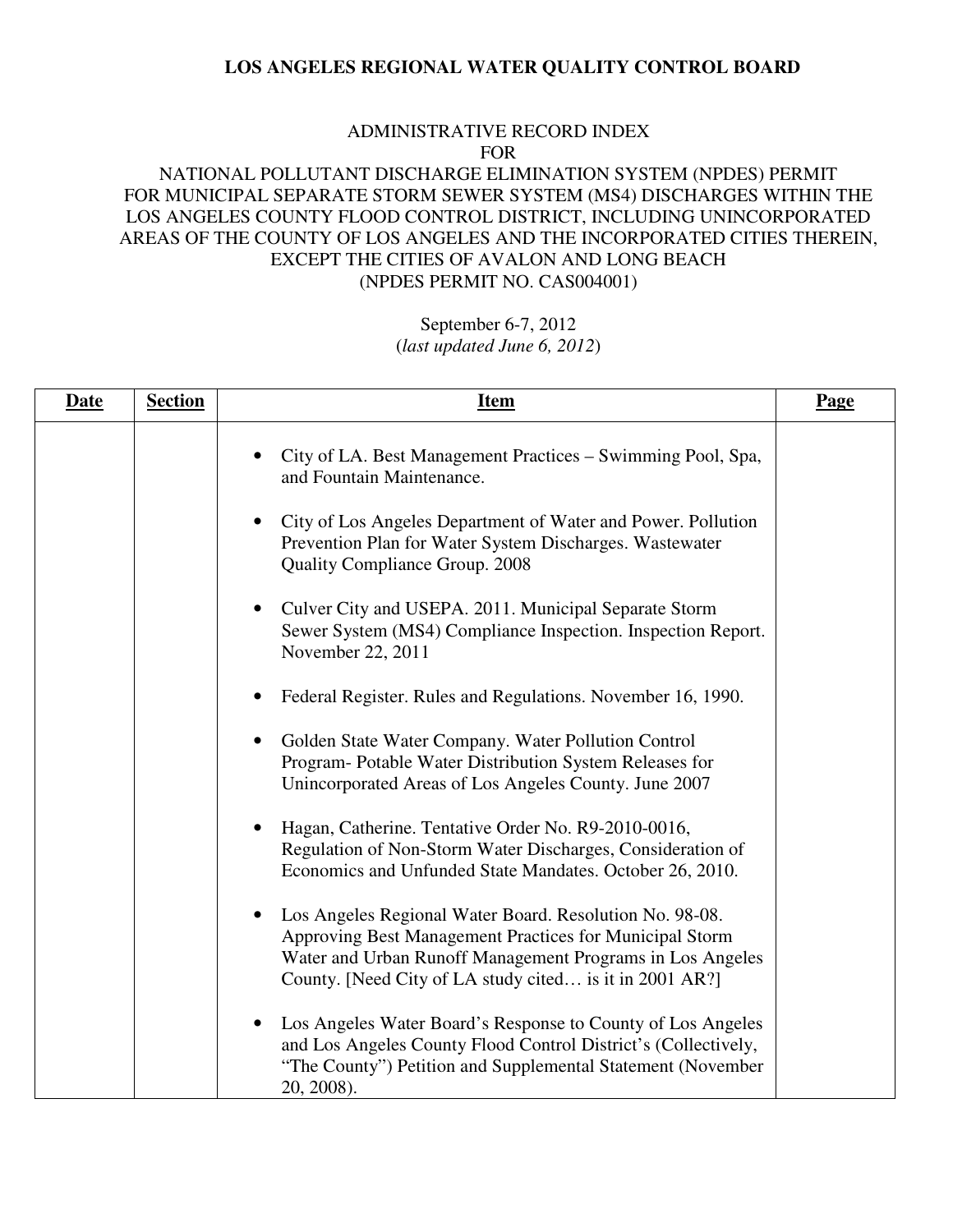#### ADMINISTRATIVE RECORD INDEX FOR

# NATIONAL POLLUTANT DISCHARGE ELIMINATION SYSTEM (NPDES) PERMIT FOR MUNICIPAL SEPARATE STORM SEWER SYSTEM (MS4) DISCHARGES WITHIN THE LOS ANGELES COUNTY FLOOD CONTROL DISTRICT, INCLUDING UNINCORPORATED AREAS OF THE COUNTY OF LOS ANGELES AND THE INCORPORATED CITIES THEREIN, EXCEPT THE CITIES OF AVALON AND LONG BEACH (NPDES PERMIT NO. CAS004001)

| <b>Date</b> | <b>Section</b> | <u>Item</u>                                                                                                                                                                                                                                | Page |
|-------------|----------------|--------------------------------------------------------------------------------------------------------------------------------------------------------------------------------------------------------------------------------------------|------|
|             |                | City of LA. Best Management Practices – Swimming Pool, Spa,<br>and Fountain Maintenance.                                                                                                                                                   |      |
|             |                | City of Los Angeles Department of Water and Power. Pollution<br>Prevention Plan for Water System Discharges. Wastewater<br><b>Quality Compliance Group. 2008</b>                                                                           |      |
|             |                | Culver City and USEPA. 2011. Municipal Separate Storm<br>Sewer System (MS4) Compliance Inspection. Inspection Report.<br>November 22, 2011                                                                                                 |      |
|             |                | Federal Register. Rules and Regulations. November 16, 1990.                                                                                                                                                                                |      |
|             |                | Golden State Water Company. Water Pollution Control<br>Program- Potable Water Distribution System Releases for<br>Unincorporated Areas of Los Angeles County. June 2007                                                                    |      |
|             |                | Hagan, Catherine. Tentative Order No. R9-2010-0016,<br>Regulation of Non-Storm Water Discharges, Consideration of<br>Economics and Unfunded State Mandates. October 26, 2010.                                                              |      |
|             |                | Los Angeles Regional Water Board. Resolution No. 98-08.<br>Approving Best Management Practices for Municipal Storm<br>Water and Urban Runoff Management Programs in Los Angeles<br>County. [Need City of LA study cited is it in 2001 AR?] |      |
|             |                | Los Angeles Water Board's Response to County of Los Angeles<br>and Los Angeles County Flood Control District's (Collectively,<br>"The County") Petition and Supplemental Statement (November<br>20, 2008).                                 |      |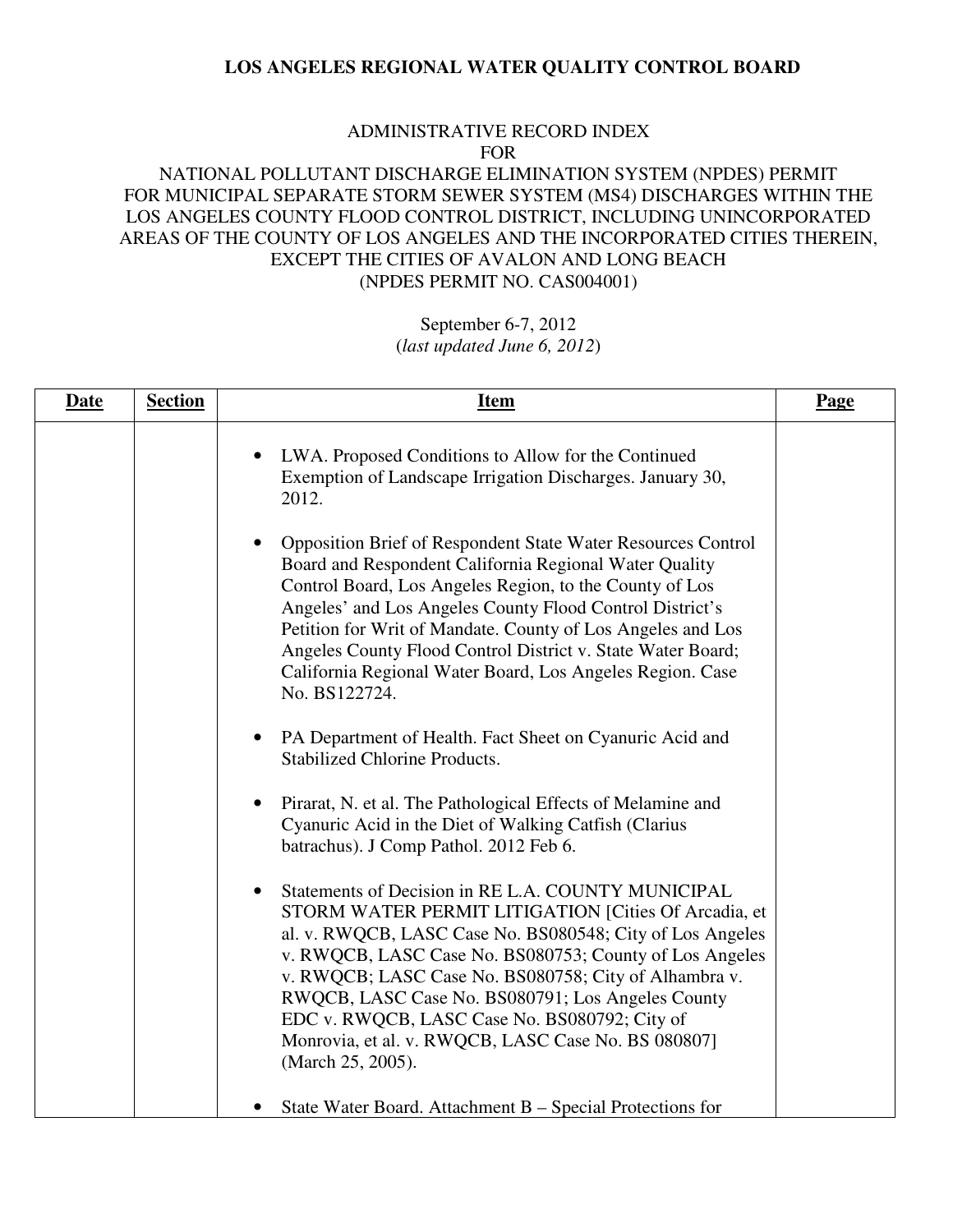#### ADMINISTRATIVE RECORD INDEX FOR

### NATIONAL POLLUTANT DISCHARGE ELIMINATION SYSTEM (NPDES) PERMIT FOR MUNICIPAL SEPARATE STORM SEWER SYSTEM (MS4) DISCHARGES WITHIN THE LOS ANGELES COUNTY FLOOD CONTROL DISTRICT, INCLUDING UNINCORPORATED AREAS OF THE COUNTY OF LOS ANGELES AND THE INCORPORATED CITIES THEREIN, EXCEPT THE CITIES OF AVALON AND LONG BEACH (NPDES PERMIT NO. CAS004001)

| <b>Date</b> | <b>Section</b> | <b>Item</b>                                                                                                                                                                                                                                                                                                                                                                                                                                                                   | Page |
|-------------|----------------|-------------------------------------------------------------------------------------------------------------------------------------------------------------------------------------------------------------------------------------------------------------------------------------------------------------------------------------------------------------------------------------------------------------------------------------------------------------------------------|------|
|             |                | LWA. Proposed Conditions to Allow for the Continued<br>Exemption of Landscape Irrigation Discharges. January 30,<br>2012.                                                                                                                                                                                                                                                                                                                                                     |      |
|             |                | Opposition Brief of Respondent State Water Resources Control<br>Board and Respondent California Regional Water Quality<br>Control Board, Los Angeles Region, to the County of Los<br>Angeles' and Los Angeles County Flood Control District's<br>Petition for Writ of Mandate. County of Los Angeles and Los<br>Angeles County Flood Control District v. State Water Board;<br>California Regional Water Board, Los Angeles Region. Case<br>No. BS122724.                     |      |
|             |                | PA Department of Health. Fact Sheet on Cyanuric Acid and<br>$\bullet$<br><b>Stabilized Chlorine Products.</b>                                                                                                                                                                                                                                                                                                                                                                 |      |
|             |                | Pirarat, N. et al. The Pathological Effects of Melamine and<br>Cyanuric Acid in the Diet of Walking Catfish (Clarius<br>batrachus). J Comp Pathol. 2012 Feb 6.                                                                                                                                                                                                                                                                                                                |      |
|             |                | Statements of Decision in RE L.A. COUNTY MUNICIPAL<br>STORM WATER PERMIT LITIGATION [Cities Of Arcadia, et<br>al. v. RWQCB, LASC Case No. BS080548; City of Los Angeles<br>v. RWQCB, LASC Case No. BS080753; County of Los Angeles<br>v. RWQCB; LASC Case No. BS080758; City of Alhambra v.<br>RWQCB, LASC Case No. BS080791; Los Angeles County<br>EDC v. RWQCB, LASC Case No. BS080792; City of<br>Monrovia, et al. v. RWQCB, LASC Case No. BS 080807]<br>(March 25, 2005). |      |
|             |                | State Water Board. Attachment B – Special Protections for                                                                                                                                                                                                                                                                                                                                                                                                                     |      |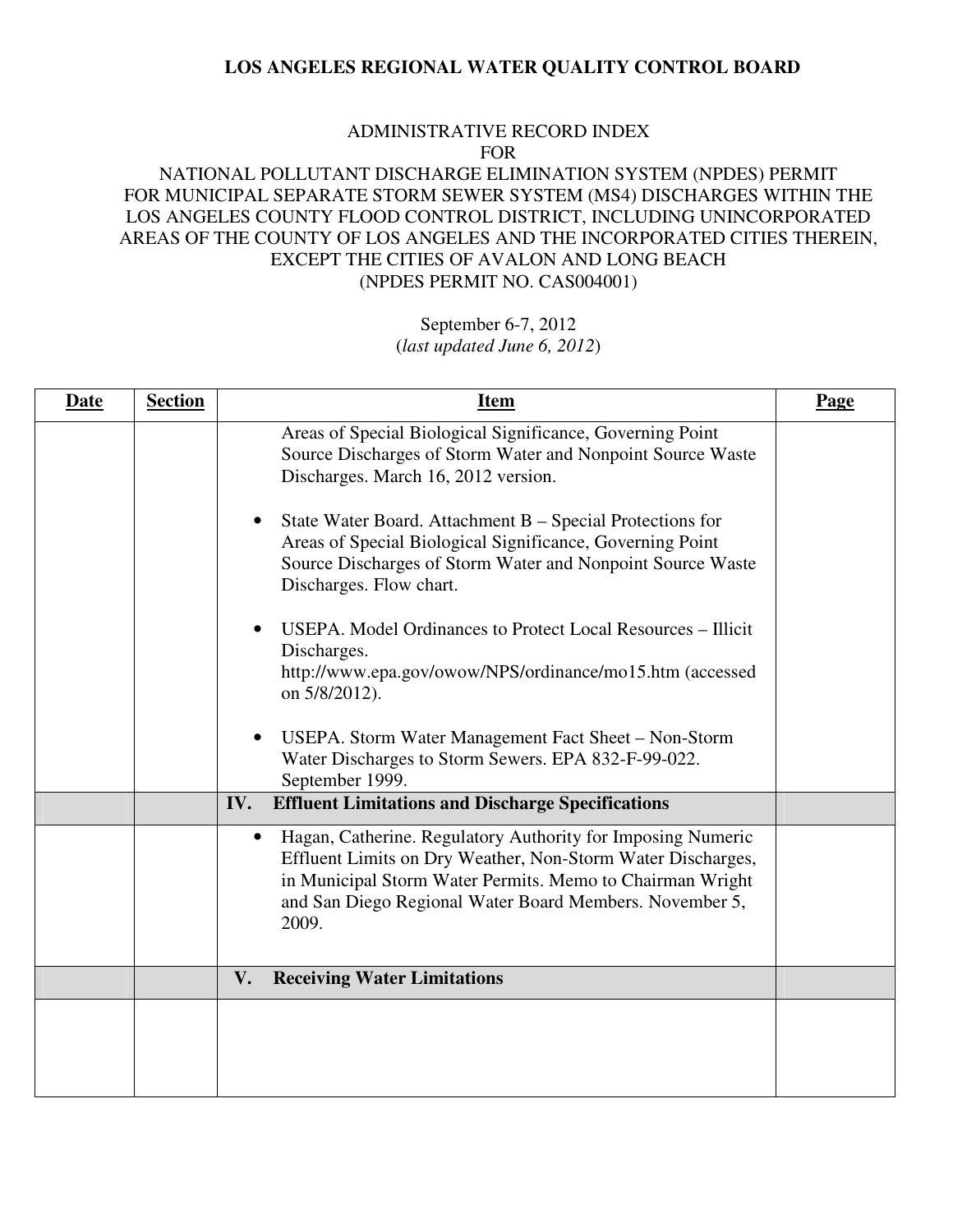#### ADMINISTRATIVE RECORD INDEX FOR

# NATIONAL POLLUTANT DISCHARGE ELIMINATION SYSTEM (NPDES) PERMIT FOR MUNICIPAL SEPARATE STORM SEWER SYSTEM (MS4) DISCHARGES WITHIN THE LOS ANGELES COUNTY FLOOD CONTROL DISTRICT, INCLUDING UNINCORPORATED AREAS OF THE COUNTY OF LOS ANGELES AND THE INCORPORATED CITIES THEREIN, EXCEPT THE CITIES OF AVALON AND LONG BEACH (NPDES PERMIT NO. CAS004001)

| <b>Date</b> | <b>Section</b> | <b>Item</b>                                                                                                                                                                                                                                                              | Page |
|-------------|----------------|--------------------------------------------------------------------------------------------------------------------------------------------------------------------------------------------------------------------------------------------------------------------------|------|
|             |                | Areas of Special Biological Significance, Governing Point<br>Source Discharges of Storm Water and Nonpoint Source Waste<br>Discharges. March 16, 2012 version.                                                                                                           |      |
|             |                | State Water Board. Attachment B – Special Protections for<br>$\bullet$<br>Areas of Special Biological Significance, Governing Point<br>Source Discharges of Storm Water and Nonpoint Source Waste<br>Discharges. Flow chart.                                             |      |
|             |                | USEPA. Model Ordinances to Protect Local Resources - Illicit<br>$\bullet$<br>Discharges.<br>http://www.epa.gov/owow/NPS/ordinance/mo15.htm (accessed<br>on 5/8/2012).                                                                                                    |      |
|             |                | USEPA. Storm Water Management Fact Sheet - Non-Storm<br>$\bullet$<br>Water Discharges to Storm Sewers. EPA 832-F-99-022.<br>September 1999.                                                                                                                              |      |
|             |                | IV.<br><b>Effluent Limitations and Discharge Specifications</b>                                                                                                                                                                                                          |      |
|             |                | Hagan, Catherine. Regulatory Authority for Imposing Numeric<br>$\bullet$<br>Effluent Limits on Dry Weather, Non-Storm Water Discharges,<br>in Municipal Storm Water Permits. Memo to Chairman Wright<br>and San Diego Regional Water Board Members. November 5,<br>2009. |      |
|             |                | <b>Receiving Water Limitations</b><br>V.                                                                                                                                                                                                                                 |      |
|             |                |                                                                                                                                                                                                                                                                          |      |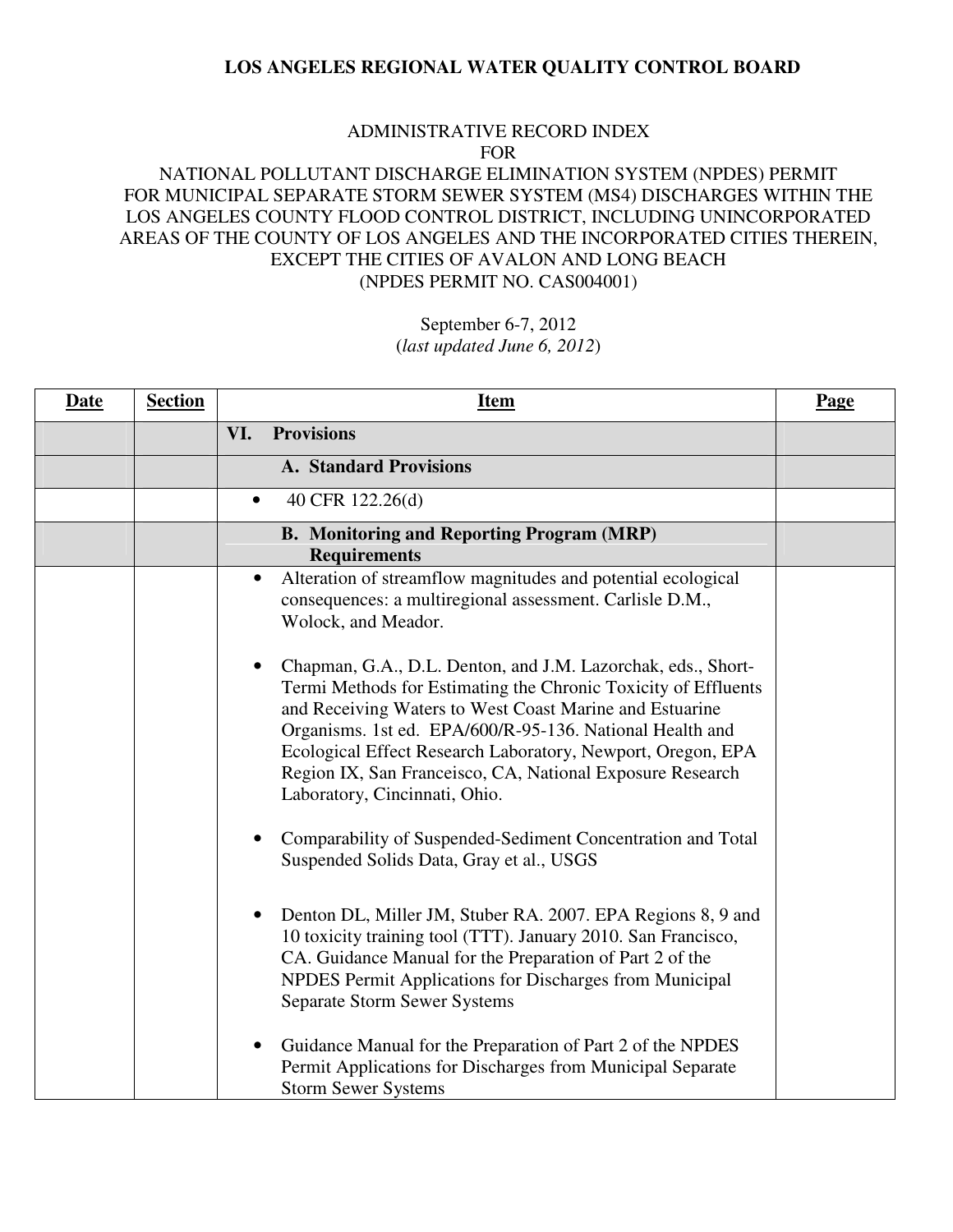#### ADMINISTRATIVE RECORD INDEX FOR

# NATIONAL POLLUTANT DISCHARGE ELIMINATION SYSTEM (NPDES) PERMIT FOR MUNICIPAL SEPARATE STORM SEWER SYSTEM (MS4) DISCHARGES WITHIN THE LOS ANGELES COUNTY FLOOD CONTROL DISTRICT, INCLUDING UNINCORPORATED AREAS OF THE COUNTY OF LOS ANGELES AND THE INCORPORATED CITIES THEREIN, EXCEPT THE CITIES OF AVALON AND LONG BEACH (NPDES PERMIT NO. CAS004001)

| <b>Date</b> | <b>Section</b> | <b>Item</b>                                                                                                                                                                                                                                                                                                                                                                                                        | <b>Page</b> |
|-------------|----------------|--------------------------------------------------------------------------------------------------------------------------------------------------------------------------------------------------------------------------------------------------------------------------------------------------------------------------------------------------------------------------------------------------------------------|-------------|
|             |                | <b>Provisions</b><br>VI.                                                                                                                                                                                                                                                                                                                                                                                           |             |
|             |                | <b>A. Standard Provisions</b>                                                                                                                                                                                                                                                                                                                                                                                      |             |
|             |                | 40 CFR 122.26(d)<br>$\bullet$                                                                                                                                                                                                                                                                                                                                                                                      |             |
|             |                | <b>B. Monitoring and Reporting Program (MRP)</b><br><b>Requirements</b>                                                                                                                                                                                                                                                                                                                                            |             |
|             |                | Alteration of streamflow magnitudes and potential ecological<br>$\bullet$<br>consequences: a multiregional assessment. Carlisle D.M.,<br>Wolock, and Meador.                                                                                                                                                                                                                                                       |             |
|             |                | Chapman, G.A., D.L. Denton, and J.M. Lazorchak, eds., Short-<br>Termi Methods for Estimating the Chronic Toxicity of Effluents<br>and Receiving Waters to West Coast Marine and Estuarine<br>Organisms. 1st ed. EPA/600/R-95-136. National Health and<br>Ecological Effect Research Laboratory, Newport, Oregon, EPA<br>Region IX, San Franceisco, CA, National Exposure Research<br>Laboratory, Cincinnati, Ohio. |             |
|             |                | Comparability of Suspended-Sediment Concentration and Total<br>$\bullet$<br>Suspended Solids Data, Gray et al., USGS                                                                                                                                                                                                                                                                                               |             |
|             |                | Denton DL, Miller JM, Stuber RA. 2007. EPA Regions 8, 9 and<br>$\bullet$<br>10 toxicity training tool (TTT). January 2010. San Francisco,<br>CA. Guidance Manual for the Preparation of Part 2 of the<br>NPDES Permit Applications for Discharges from Municipal<br><b>Separate Storm Sewer Systems</b>                                                                                                            |             |
|             |                | Guidance Manual for the Preparation of Part 2 of the NPDES<br>Permit Applications for Discharges from Municipal Separate<br><b>Storm Sewer Systems</b>                                                                                                                                                                                                                                                             |             |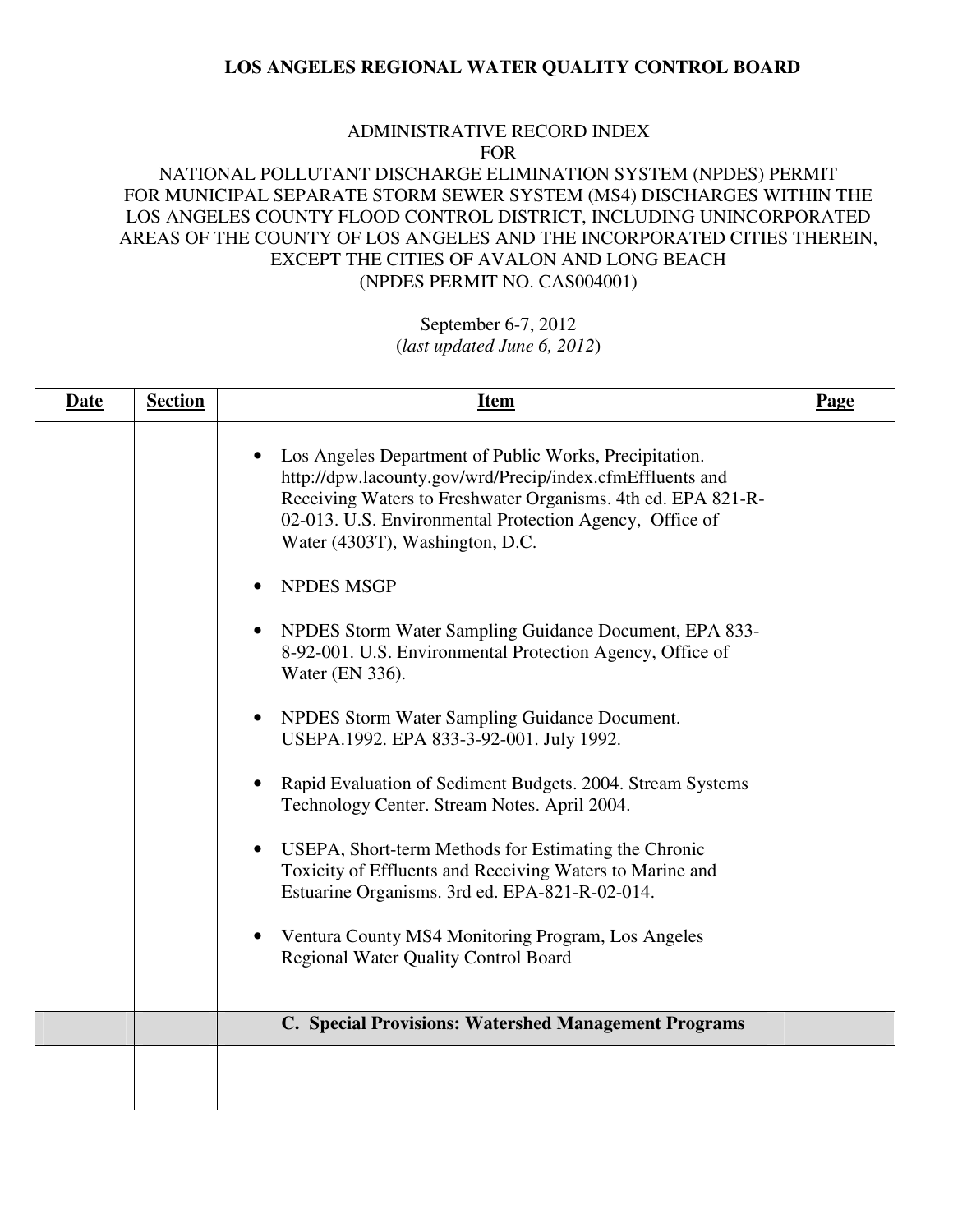#### ADMINISTRATIVE RECORD INDEX FOR

# NATIONAL POLLUTANT DISCHARGE ELIMINATION SYSTEM (NPDES) PERMIT FOR MUNICIPAL SEPARATE STORM SEWER SYSTEM (MS4) DISCHARGES WITHIN THE LOS ANGELES COUNTY FLOOD CONTROL DISTRICT, INCLUDING UNINCORPORATED AREAS OF THE COUNTY OF LOS ANGELES AND THE INCORPORATED CITIES THEREIN, EXCEPT THE CITIES OF AVALON AND LONG BEACH (NPDES PERMIT NO. CAS004001)

| <b>Date</b> | <b>Section</b> | <b>Item</b>                                                                                                                                                                                                                                                                                                                                                                                                                                                                                                                                                                                                                                                                                                                                                                                                                                                                                                                                                                                                          | Page |
|-------------|----------------|----------------------------------------------------------------------------------------------------------------------------------------------------------------------------------------------------------------------------------------------------------------------------------------------------------------------------------------------------------------------------------------------------------------------------------------------------------------------------------------------------------------------------------------------------------------------------------------------------------------------------------------------------------------------------------------------------------------------------------------------------------------------------------------------------------------------------------------------------------------------------------------------------------------------------------------------------------------------------------------------------------------------|------|
|             |                | Los Angeles Department of Public Works, Precipitation.<br>http://dpw.lacounty.gov/wrd/Precip/index.cfmEffluents and<br>Receiving Waters to Freshwater Organisms. 4th ed. EPA 821-R-<br>02-013. U.S. Environmental Protection Agency, Office of<br>Water (4303T), Washington, D.C.<br><b>NPDES MSGP</b><br>$\bullet$<br>NPDES Storm Water Sampling Guidance Document, EPA 833-<br>$\bullet$<br>8-92-001. U.S. Environmental Protection Agency, Office of<br>Water (EN 336).<br>NPDES Storm Water Sampling Guidance Document.<br>$\bullet$<br>USEPA.1992. EPA 833-3-92-001. July 1992.<br>Rapid Evaluation of Sediment Budgets. 2004. Stream Systems<br>$\bullet$<br>Technology Center. Stream Notes. April 2004.<br>USEPA, Short-term Methods for Estimating the Chronic<br>$\bullet$<br>Toxicity of Effluents and Receiving Waters to Marine and<br>Estuarine Organisms. 3rd ed. EPA-821-R-02-014.<br>Ventura County MS4 Monitoring Program, Los Angeles<br>$\bullet$<br><b>Regional Water Quality Control Board</b> |      |
|             |                | C. Special Provisions: Watershed Management Programs                                                                                                                                                                                                                                                                                                                                                                                                                                                                                                                                                                                                                                                                                                                                                                                                                                                                                                                                                                 |      |
|             |                |                                                                                                                                                                                                                                                                                                                                                                                                                                                                                                                                                                                                                                                                                                                                                                                                                                                                                                                                                                                                                      |      |
|             |                |                                                                                                                                                                                                                                                                                                                                                                                                                                                                                                                                                                                                                                                                                                                                                                                                                                                                                                                                                                                                                      |      |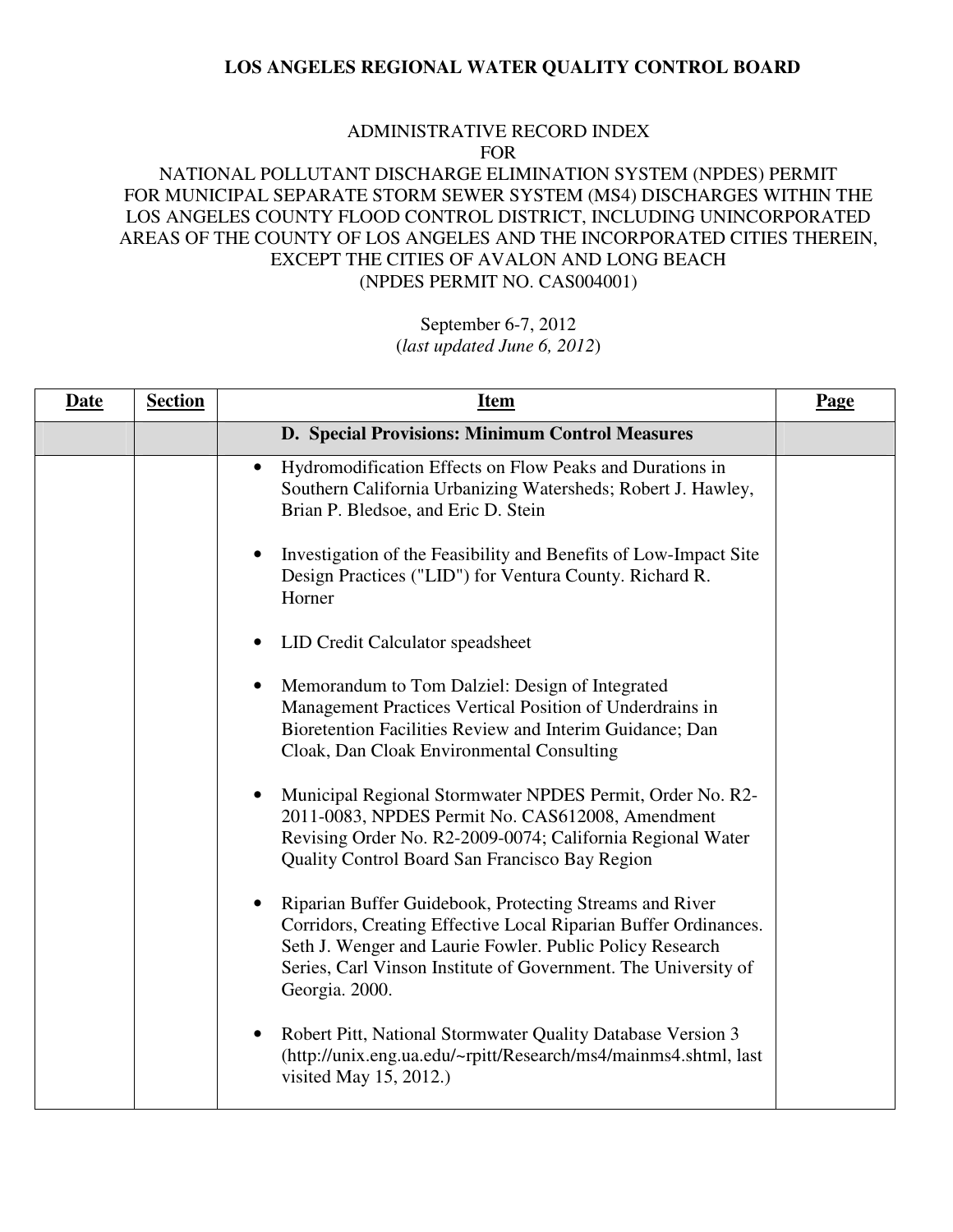#### ADMINISTRATIVE RECORD INDEX FOR

# NATIONAL POLLUTANT DISCHARGE ELIMINATION SYSTEM (NPDES) PERMIT FOR MUNICIPAL SEPARATE STORM SEWER SYSTEM (MS4) DISCHARGES WITHIN THE LOS ANGELES COUNTY FLOOD CONTROL DISTRICT, INCLUDING UNINCORPORATED AREAS OF THE COUNTY OF LOS ANGELES AND THE INCORPORATED CITIES THEREIN, EXCEPT THE CITIES OF AVALON AND LONG BEACH (NPDES PERMIT NO. CAS004001)

| <b>Date</b> | <b>Section</b> | <b>Item</b>                                                                                                                                                                                                                                                                | <b>Page</b> |
|-------------|----------------|----------------------------------------------------------------------------------------------------------------------------------------------------------------------------------------------------------------------------------------------------------------------------|-------------|
|             |                | D. Special Provisions: Minimum Control Measures                                                                                                                                                                                                                            |             |
|             |                | Hydromodification Effects on Flow Peaks and Durations in<br>$\bullet$<br>Southern California Urbanizing Watersheds; Robert J. Hawley,<br>Brian P. Bledsoe, and Eric D. Stein                                                                                               |             |
|             |                | Investigation of the Feasibility and Benefits of Low-Impact Site<br>Design Practices ("LID") for Ventura County. Richard R.<br>Horner                                                                                                                                      |             |
|             |                | LID Credit Calculator speadsheet<br>٠                                                                                                                                                                                                                                      |             |
|             |                | Memorandum to Tom Dalziel: Design of Integrated<br>Management Practices Vertical Position of Underdrains in<br>Bioretention Facilities Review and Interim Guidance; Dan<br>Cloak, Dan Cloak Environmental Consulting                                                       |             |
|             |                | Municipal Regional Stormwater NPDES Permit, Order No. R2-<br>٠<br>2011-0083, NPDES Permit No. CAS612008, Amendment<br>Revising Order No. R2-2009-0074; California Regional Water<br>Quality Control Board San Francisco Bay Region                                         |             |
|             |                | Riparian Buffer Guidebook, Protecting Streams and River<br>Corridors, Creating Effective Local Riparian Buffer Ordinances.<br>Seth J. Wenger and Laurie Fowler. Public Policy Research<br>Series, Carl Vinson Institute of Government. The University of<br>Georgia. 2000. |             |
|             |                | Robert Pitt, National Stormwater Quality Database Version 3<br>٠<br>(http://unix.eng.ua.edu/~rpitt/Research/ms4/mainms4.shtml, last<br>visited May 15, 2012.)                                                                                                              |             |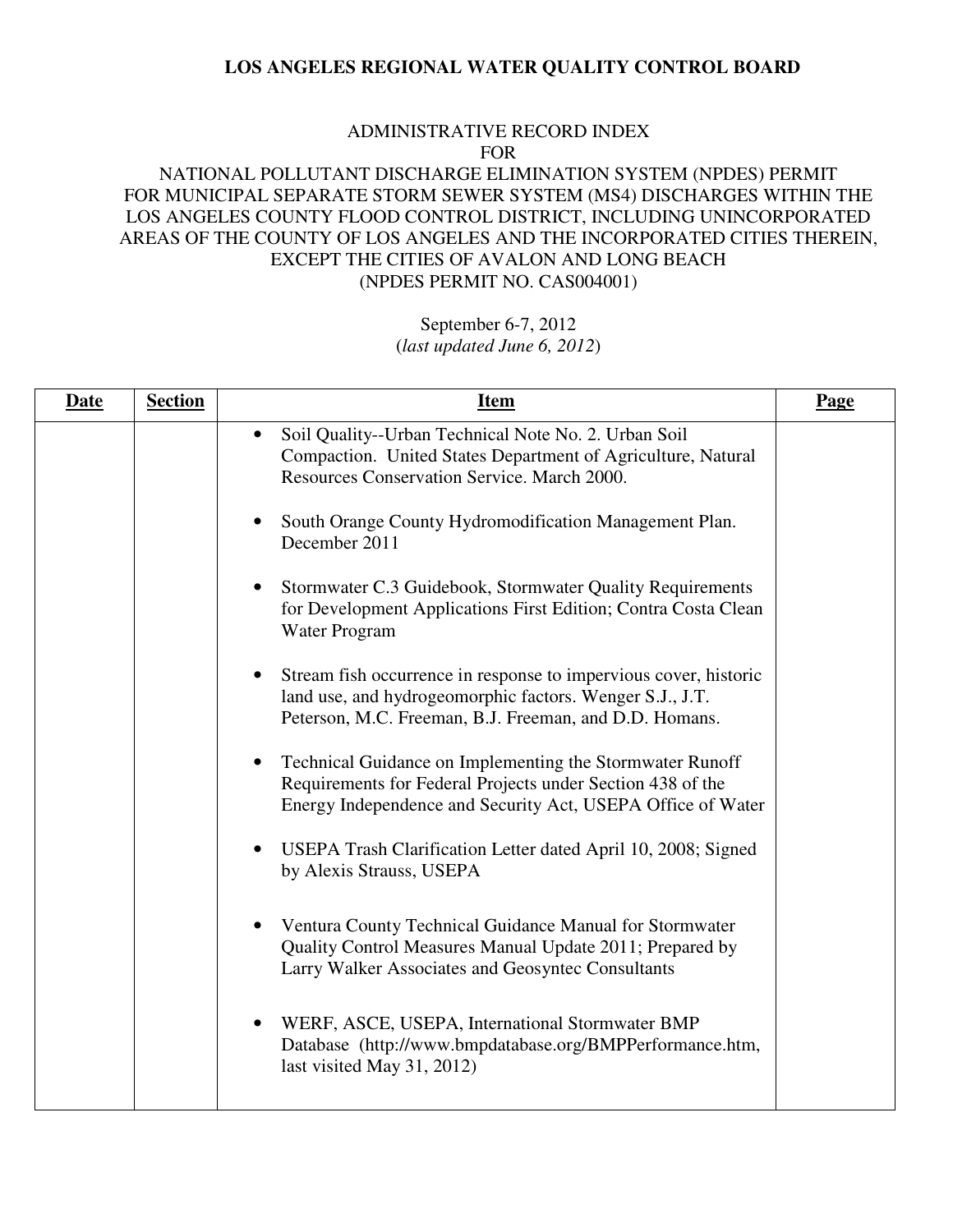#### ADMINISTRATIVE RECORD INDEX FOR

# NATIONAL POLLUTANT DISCHARGE ELIMINATION SYSTEM (NPDES) PERMIT FOR MUNICIPAL SEPARATE STORM SEWER SYSTEM (MS4) DISCHARGES WITHIN THE LOS ANGELES COUNTY FLOOD CONTROL DISTRICT, INCLUDING UNINCORPORATED AREAS OF THE COUNTY OF LOS ANGELES AND THE INCORPORATED CITIES THEREIN, EXCEPT THE CITIES OF AVALON AND LONG BEACH (NPDES PERMIT NO. CAS004001)

| <b>Date</b> | <b>Section</b> | <b>Item</b>                                                                                                                                                                                         | Page |
|-------------|----------------|-----------------------------------------------------------------------------------------------------------------------------------------------------------------------------------------------------|------|
|             |                | Soil Quality--Urban Technical Note No. 2. Urban Soil<br>$\bullet$<br>Compaction. United States Department of Agriculture, Natural<br>Resources Conservation Service. March 2000.                    |      |
|             |                | South Orange County Hydromodification Management Plan.<br>December 2011                                                                                                                             |      |
|             |                | Stormwater C.3 Guidebook, Stormwater Quality Requirements<br>$\bullet$<br>for Development Applications First Edition; Contra Costa Clean<br>Water Program                                           |      |
|             |                | Stream fish occurrence in response to impervious cover, historic<br>$\bullet$<br>land use, and hydrogeomorphic factors. Wenger S.J., J.T.<br>Peterson, M.C. Freeman, B.J. Freeman, and D.D. Homans. |      |
|             |                | Technical Guidance on Implementing the Stormwater Runoff<br>$\bullet$<br>Requirements for Federal Projects under Section 438 of the<br>Energy Independence and Security Act, USEPA Office of Water  |      |
|             |                | USEPA Trash Clarification Letter dated April 10, 2008; Signed<br>$\bullet$<br>by Alexis Strauss, USEPA                                                                                              |      |
|             |                | Ventura County Technical Guidance Manual for Stormwater<br>$\bullet$<br>Quality Control Measures Manual Update 2011; Prepared by<br>Larry Walker Associates and Geosyntec Consultants               |      |
|             |                | WERF, ASCE, USEPA, International Stormwater BMP<br>$\bullet$<br>Database (http://www.bmpdatabase.org/BMPPerformance.htm,<br>last visited May 31, 2012)                                              |      |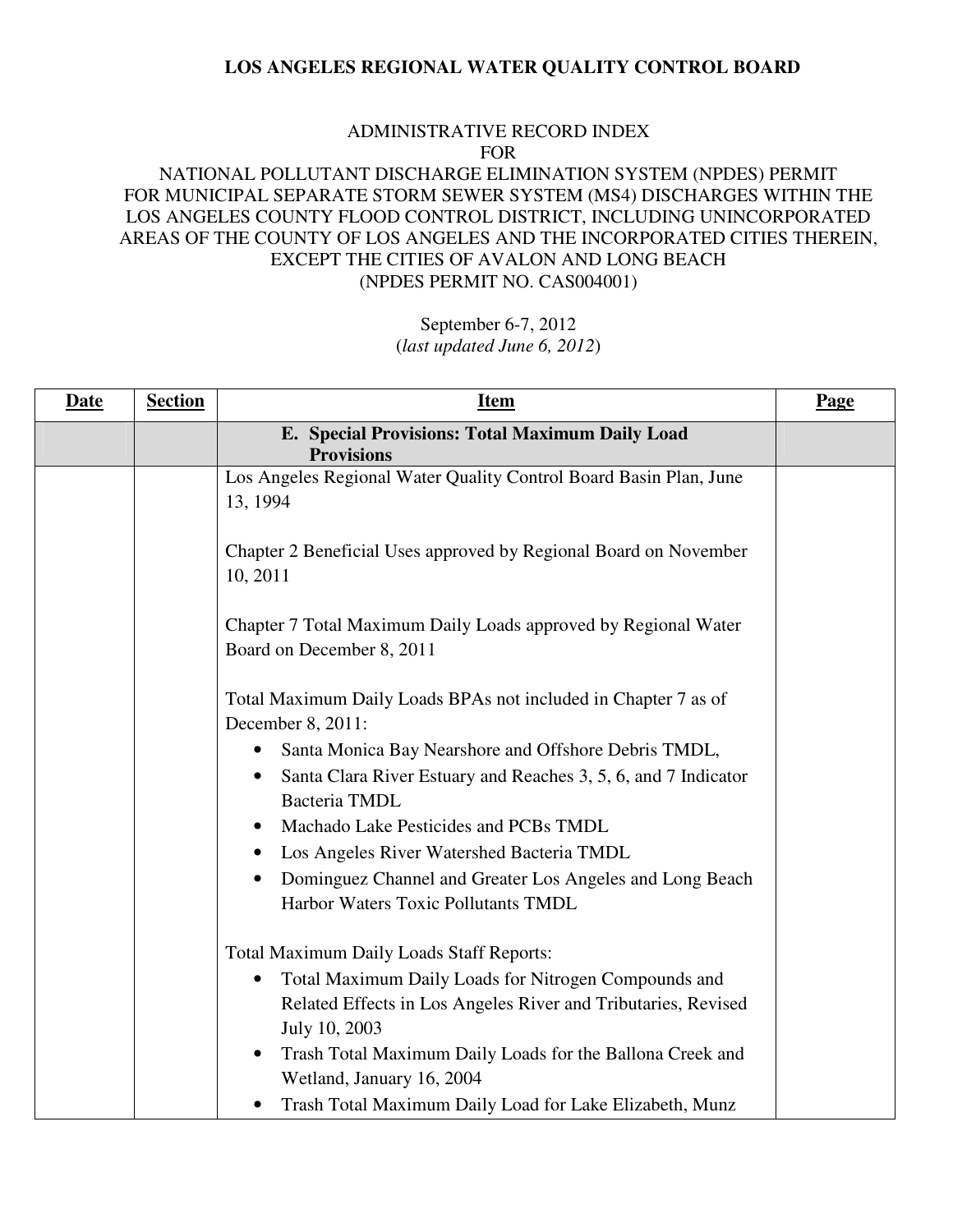#### ADMINISTRATIVE RECORD INDEX FOR

# NATIONAL POLLUTANT DISCHARGE ELIMINATION SYSTEM (NPDES) PERMIT FOR MUNICIPAL SEPARATE STORM SEWER SYSTEM (MS4) DISCHARGES WITHIN THE LOS ANGELES COUNTY FLOOD CONTROL DISTRICT, INCLUDING UNINCORPORATED AREAS OF THE COUNTY OF LOS ANGELES AND THE INCORPORATED CITIES THEREIN, EXCEPT THE CITIES OF AVALON AND LONG BEACH (NPDES PERMIT NO. CAS004001)

| <b>Date</b> | <b>Section</b> | <b>Item</b>                                                                                                                                                                             | Page |
|-------------|----------------|-----------------------------------------------------------------------------------------------------------------------------------------------------------------------------------------|------|
|             |                | E. Special Provisions: Total Maximum Daily Load<br><b>Provisions</b>                                                                                                                    |      |
|             |                | Los Angeles Regional Water Quality Control Board Basin Plan, June<br>13, 1994                                                                                                           |      |
|             |                | Chapter 2 Beneficial Uses approved by Regional Board on November<br>10, 2011                                                                                                            |      |
|             |                | Chapter 7 Total Maximum Daily Loads approved by Regional Water<br>Board on December 8, 2011                                                                                             |      |
|             |                | Total Maximum Daily Loads BPAs not included in Chapter 7 as of<br>December 8, 2011:                                                                                                     |      |
|             |                | Santa Monica Bay Nearshore and Offshore Debris TMDL,<br>Santa Clara River Estuary and Reaches 3, 5, 6, and 7 Indicator<br>$\bullet$<br>Bacteria TMDL                                    |      |
|             |                | Machado Lake Pesticides and PCBs TMDL<br>Los Angeles River Watershed Bacteria TMDL<br>$\bullet$                                                                                         |      |
|             |                | Dominguez Channel and Greater Los Angeles and Long Beach<br>$\bullet$<br>Harbor Waters Toxic Pollutants TMDL                                                                            |      |
|             |                | Total Maximum Daily Loads Staff Reports:<br>Total Maximum Daily Loads for Nitrogen Compounds and<br>٠<br>Related Effects in Los Angeles River and Tributaries, Revised<br>July 10, 2003 |      |
|             |                | Trash Total Maximum Daily Loads for the Ballona Creek and<br>$\bullet$<br>Wetland, January 16, 2004<br>Trash Total Maximum Daily Load for Lake Elizabeth, Munz                          |      |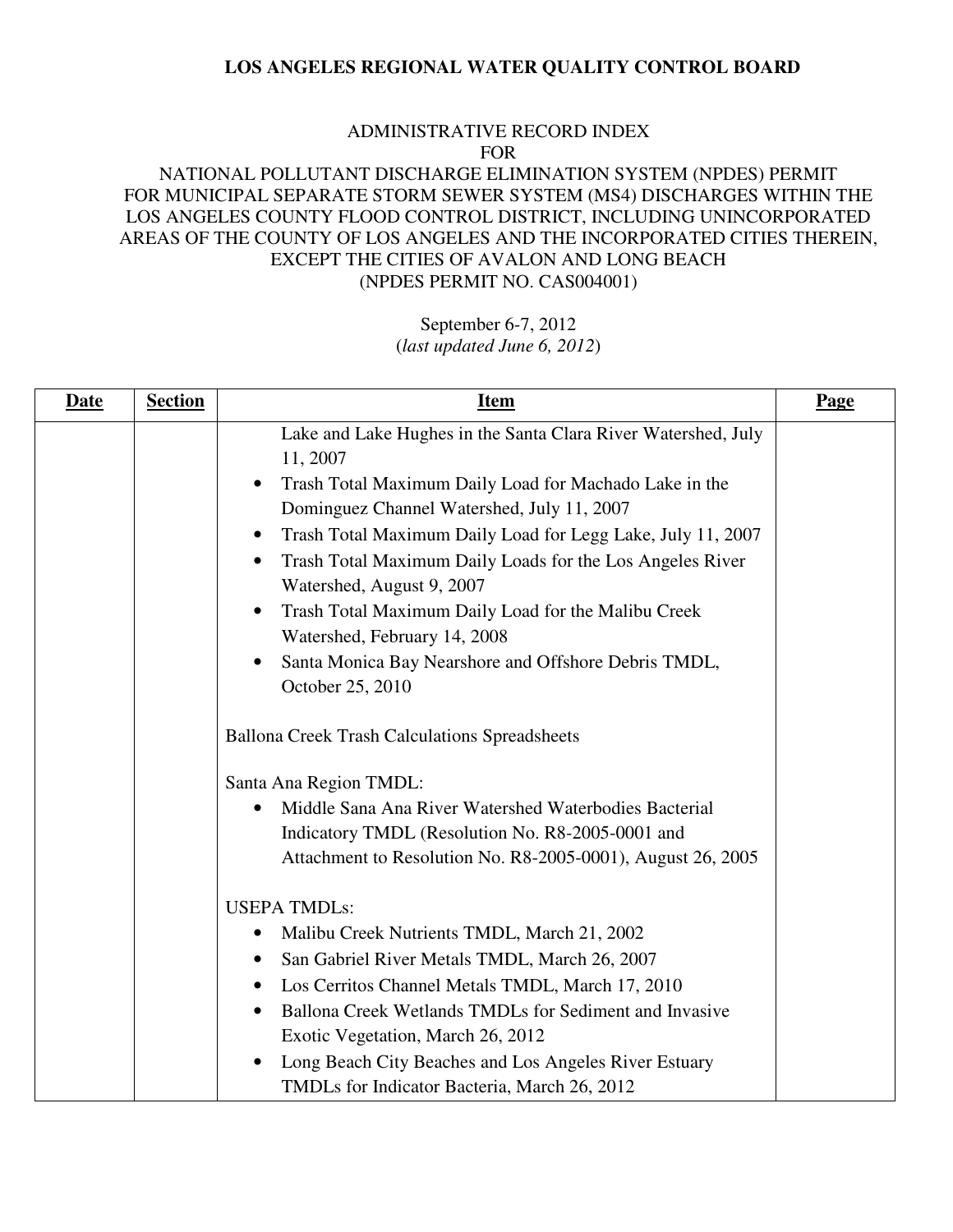#### ADMINISTRATIVE RECORD INDEX FOR

### NATIONAL POLLUTANT DISCHARGE ELIMINATION SYSTEM (NPDES) PERMIT FOR MUNICIPAL SEPARATE STORM SEWER SYSTEM (MS4) DISCHARGES WITHIN THE LOS ANGELES COUNTY FLOOD CONTROL DISTRICT, INCLUDING UNINCORPORATED AREAS OF THE COUNTY OF LOS ANGELES AND THE INCORPORATED CITIES THEREIN, EXCEPT THE CITIES OF AVALON AND LONG BEACH (NPDES PERMIT NO. CAS004001)

| <b>Date</b><br><b>Section</b> | <b>Item</b>                                                                                                                                                                                                                                                                                                                                                                                                                                                                                                         | Page |
|-------------------------------|---------------------------------------------------------------------------------------------------------------------------------------------------------------------------------------------------------------------------------------------------------------------------------------------------------------------------------------------------------------------------------------------------------------------------------------------------------------------------------------------------------------------|------|
|                               | Lake and Lake Hughes in the Santa Clara River Watershed, July<br>11, 2007<br>Trash Total Maximum Daily Load for Machado Lake in the<br>$\bullet$<br>Dominguez Channel Watershed, July 11, 2007<br>Trash Total Maximum Daily Load for Legg Lake, July 11, 2007<br>Trash Total Maximum Daily Loads for the Los Angeles River<br>Watershed, August 9, 2007<br>Trash Total Maximum Daily Load for the Malibu Creek<br>$\bullet$<br>Watershed, February 14, 2008<br>Santa Monica Bay Nearshore and Offshore Debris TMDL, |      |
|                               | October 25, 2010<br><b>Ballona Creek Trash Calculations Spreadsheets</b><br>Santa Ana Region TMDL:                                                                                                                                                                                                                                                                                                                                                                                                                  |      |
|                               | Middle Sana Ana River Watershed Waterbodies Bacterial<br>$\bullet$<br>Indicatory TMDL (Resolution No. R8-2005-0001 and<br>Attachment to Resolution No. R8-2005-0001), August 26, 2005                                                                                                                                                                                                                                                                                                                               |      |
|                               | <b>USEPA TMDLs:</b><br>Malibu Creek Nutrients TMDL, March 21, 2002<br>$\bullet$<br>San Gabriel River Metals TMDL, March 26, 2007<br>Los Cerritos Channel Metals TMDL, March 17, 2010<br>Ballona Creek Wetlands TMDLs for Sediment and Invasive<br>$\bullet$<br>Exotic Vegetation, March 26, 2012<br>Long Beach City Beaches and Los Angeles River Estuary<br>TMDLs for Indicator Bacteria, March 26, 2012                                                                                                           |      |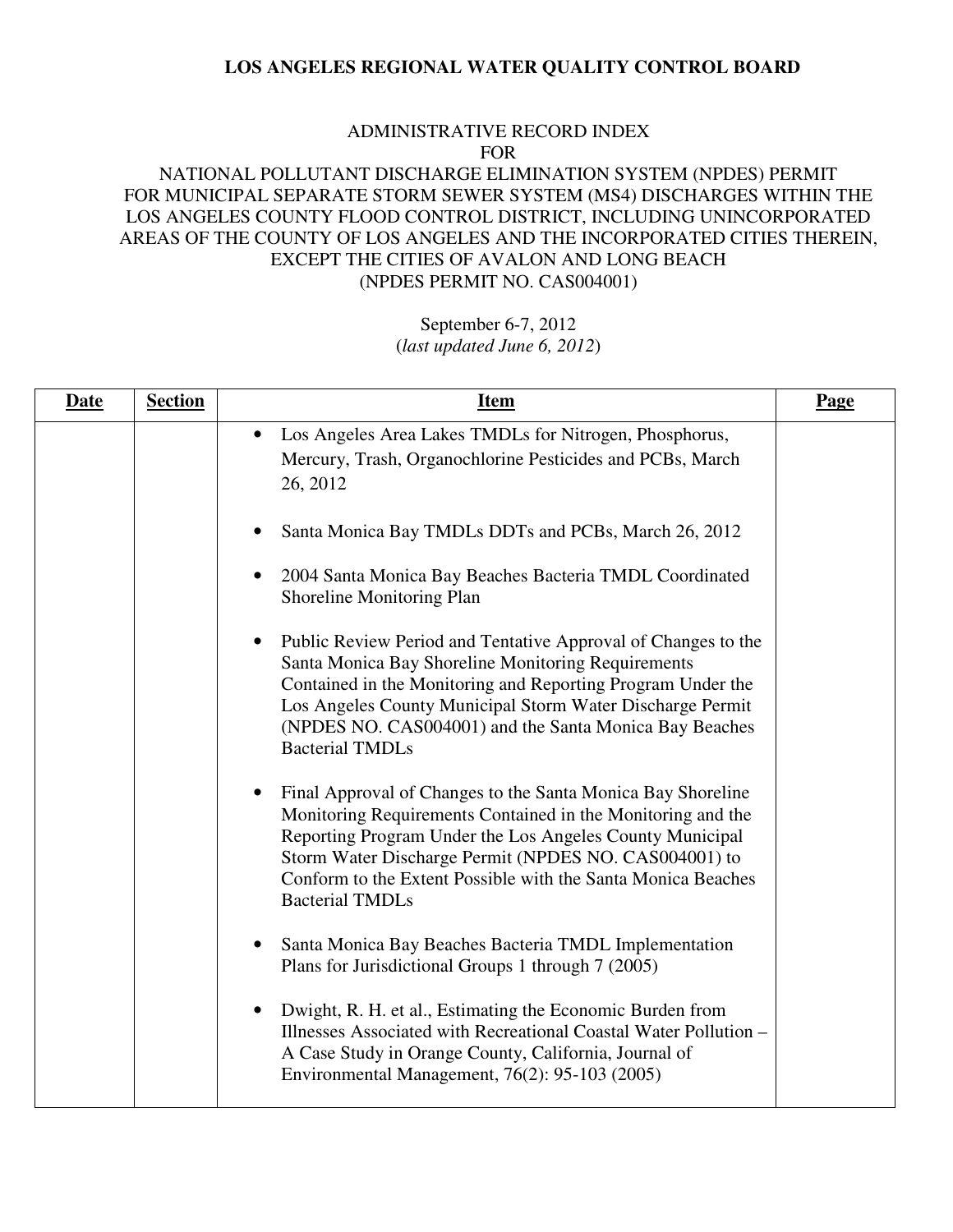#### ADMINISTRATIVE RECORD INDEX FOR

# NATIONAL POLLUTANT DISCHARGE ELIMINATION SYSTEM (NPDES) PERMIT FOR MUNICIPAL SEPARATE STORM SEWER SYSTEM (MS4) DISCHARGES WITHIN THE LOS ANGELES COUNTY FLOOD CONTROL DISTRICT, INCLUDING UNINCORPORATED AREAS OF THE COUNTY OF LOS ANGELES AND THE INCORPORATED CITIES THEREIN, EXCEPT THE CITIES OF AVALON AND LONG BEACH (NPDES PERMIT NO. CAS004001)

| <b>Date</b> | <b>Section</b> | <b>Item</b>                                                                                                                                                                                                                                                                                                                                            | <b>Page</b> |
|-------------|----------------|--------------------------------------------------------------------------------------------------------------------------------------------------------------------------------------------------------------------------------------------------------------------------------------------------------------------------------------------------------|-------------|
|             |                | Los Angeles Area Lakes TMDLs for Nitrogen, Phosphorus,<br>$\bullet$<br>Mercury, Trash, Organochlorine Pesticides and PCBs, March<br>26, 2012                                                                                                                                                                                                           |             |
|             |                | Santa Monica Bay TMDLs DDTs and PCBs, March 26, 2012<br>2004 Santa Monica Bay Beaches Bacteria TMDL Coordinated<br>Shoreline Monitoring Plan                                                                                                                                                                                                           |             |
|             |                | Public Review Period and Tentative Approval of Changes to the<br>$\bullet$<br>Santa Monica Bay Shoreline Monitoring Requirements<br>Contained in the Monitoring and Reporting Program Under the<br>Los Angeles County Municipal Storm Water Discharge Permit<br>(NPDES NO. CAS004001) and the Santa Monica Bay Beaches<br><b>Bacterial TMDLs</b>       |             |
|             |                | Final Approval of Changes to the Santa Monica Bay Shoreline<br>$\bullet$<br>Monitoring Requirements Contained in the Monitoring and the<br>Reporting Program Under the Los Angeles County Municipal<br>Storm Water Discharge Permit (NPDES NO. CAS004001) to<br>Conform to the Extent Possible with the Santa Monica Beaches<br><b>Bacterial TMDLs</b> |             |
|             |                | Santa Monica Bay Beaches Bacteria TMDL Implementation<br>$\bullet$<br>Plans for Jurisdictional Groups 1 through 7 (2005)                                                                                                                                                                                                                               |             |
|             |                | Dwight, R. H. et al., Estimating the Economic Burden from<br>$\bullet$<br>Illnesses Associated with Recreational Coastal Water Pollution -<br>A Case Study in Orange County, California, Journal of<br>Environmental Management, 76(2): 95-103 (2005)                                                                                                  |             |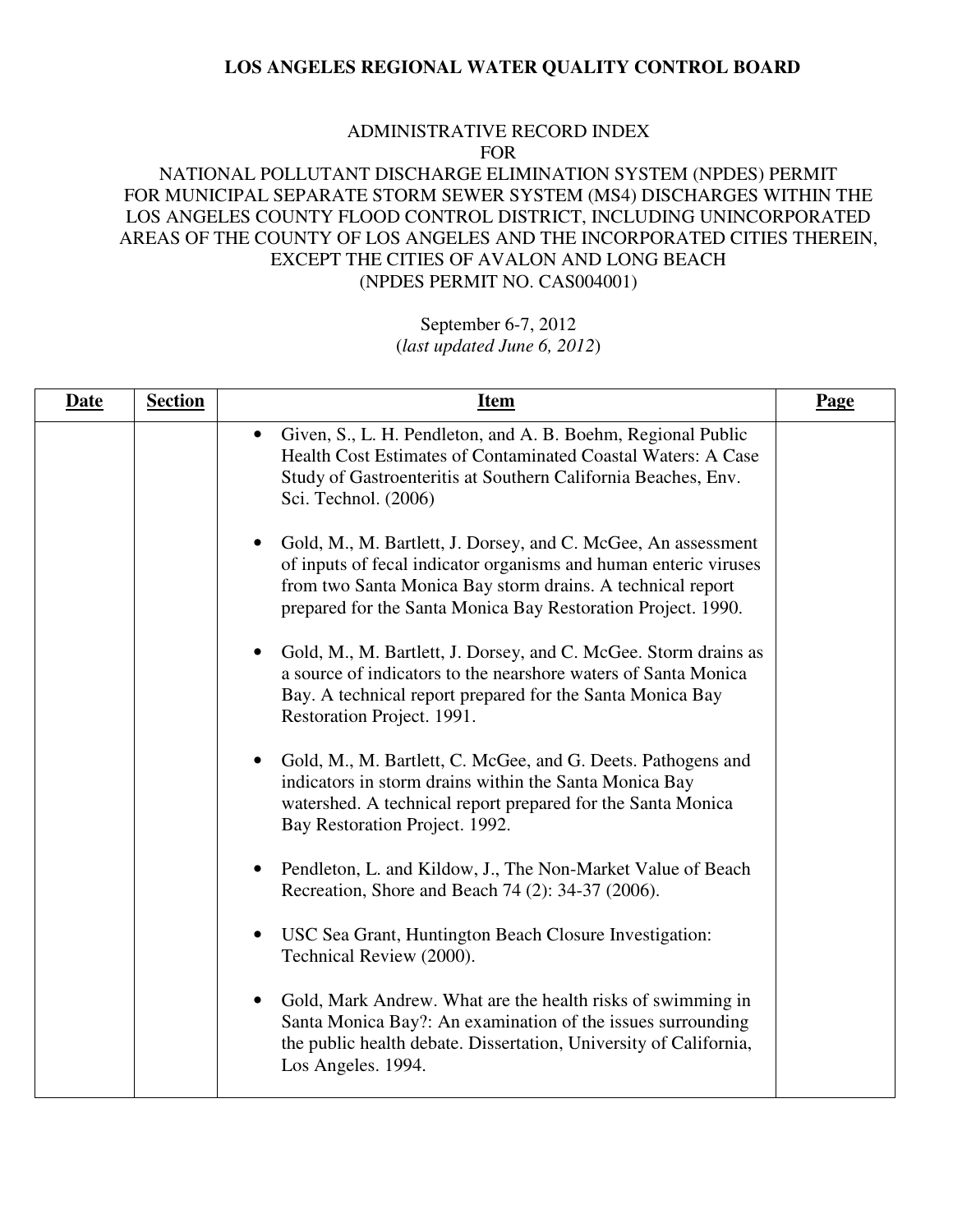#### ADMINISTRATIVE RECORD INDEX FOR

### NATIONAL POLLUTANT DISCHARGE ELIMINATION SYSTEM (NPDES) PERMIT FOR MUNICIPAL SEPARATE STORM SEWER SYSTEM (MS4) DISCHARGES WITHIN THE LOS ANGELES COUNTY FLOOD CONTROL DISTRICT, INCLUDING UNINCORPORATED AREAS OF THE COUNTY OF LOS ANGELES AND THE INCORPORATED CITIES THEREIN, EXCEPT THE CITIES OF AVALON AND LONG BEACH (NPDES PERMIT NO. CAS004001)

| <b>Date</b> | <b>Section</b> | <b>Item</b>                                                                                                                                                                                                                                                                  | <b>Page</b> |
|-------------|----------------|------------------------------------------------------------------------------------------------------------------------------------------------------------------------------------------------------------------------------------------------------------------------------|-------------|
|             |                | Given, S., L. H. Pendleton, and A. B. Boehm, Regional Public<br>$\bullet$<br>Health Cost Estimates of Contaminated Coastal Waters: A Case<br>Study of Gastroenteritis at Southern California Beaches, Env.<br>Sci. Technol. (2006)                                           |             |
|             |                | Gold, M., M. Bartlett, J. Dorsey, and C. McGee, An assessment<br>$\bullet$<br>of inputs of fecal indicator organisms and human enteric viruses<br>from two Santa Monica Bay storm drains. A technical report<br>prepared for the Santa Monica Bay Restoration Project. 1990. |             |
|             |                | Gold, M., M. Bartlett, J. Dorsey, and C. McGee. Storm drains as<br>$\bullet$<br>a source of indicators to the nearshore waters of Santa Monica<br>Bay. A technical report prepared for the Santa Monica Bay<br>Restoration Project. 1991.                                    |             |
|             |                | Gold, M., M. Bartlett, C. McGee, and G. Deets. Pathogens and<br>$\bullet$<br>indicators in storm drains within the Santa Monica Bay<br>watershed. A technical report prepared for the Santa Monica<br>Bay Restoration Project. 1992.                                         |             |
|             |                | Pendleton, L. and Kildow, J., The Non-Market Value of Beach<br>Recreation, Shore and Beach 74 (2): 34-37 (2006).                                                                                                                                                             |             |
|             |                | USC Sea Grant, Huntington Beach Closure Investigation:<br>$\bullet$<br>Technical Review (2000).                                                                                                                                                                              |             |
|             |                | Gold, Mark Andrew. What are the health risks of swimming in<br>$\bullet$<br>Santa Monica Bay?: An examination of the issues surrounding<br>the public health debate. Dissertation, University of California,<br>Los Angeles. 1994.                                           |             |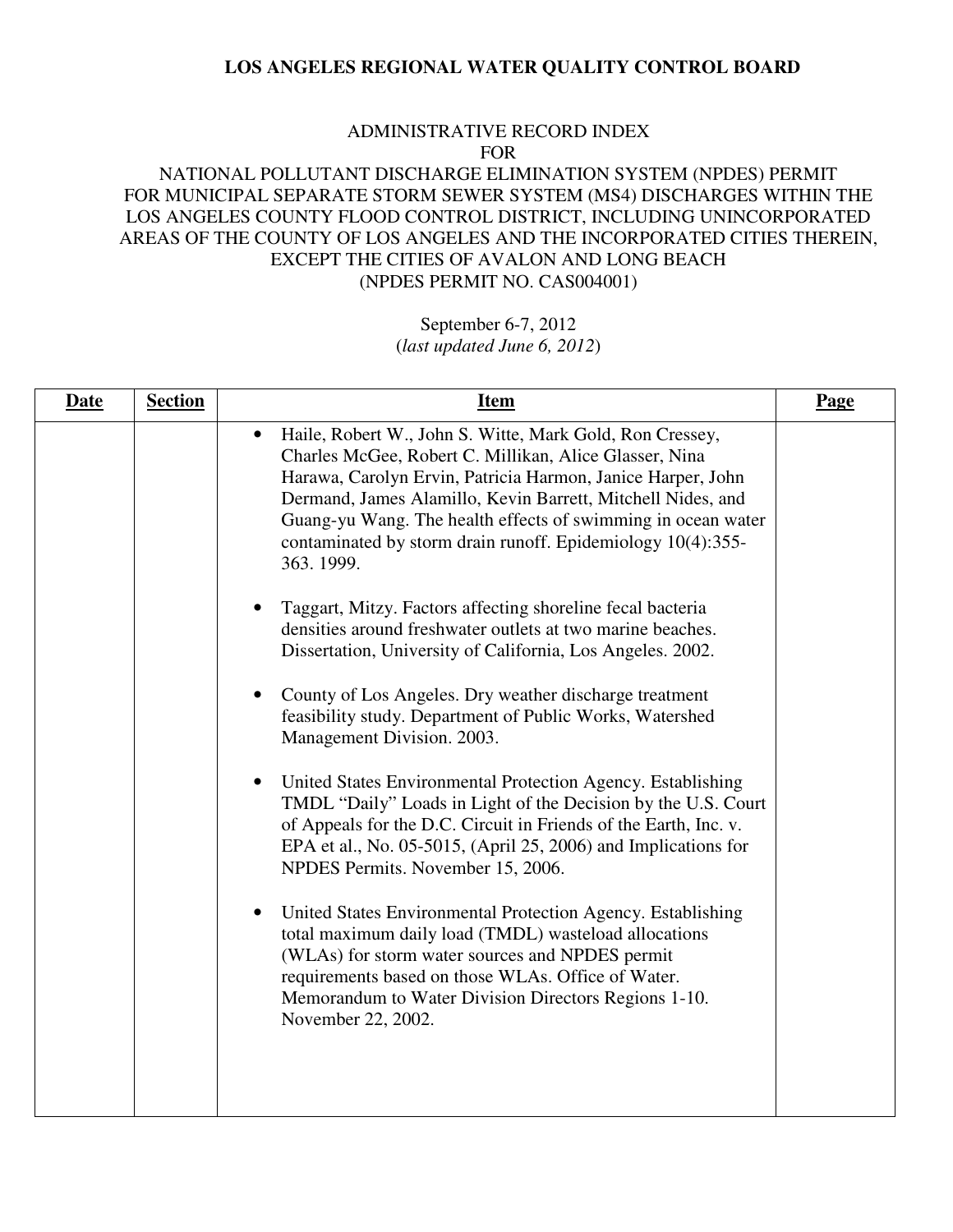#### ADMINISTRATIVE RECORD INDEX FOR

### NATIONAL POLLUTANT DISCHARGE ELIMINATION SYSTEM (NPDES) PERMIT FOR MUNICIPAL SEPARATE STORM SEWER SYSTEM (MS4) DISCHARGES WITHIN THE LOS ANGELES COUNTY FLOOD CONTROL DISTRICT, INCLUDING UNINCORPORATED AREAS OF THE COUNTY OF LOS ANGELES AND THE INCORPORATED CITIES THEREIN, EXCEPT THE CITIES OF AVALON AND LONG BEACH (NPDES PERMIT NO. CAS004001)

# September 6-7, 2012

(*last updated June 6, 2012*)

| <b>Date</b> | <b>Section</b> | <b>Item</b>                                                                                                                                                                                                                                                                                                                                                                                               | Page |
|-------------|----------------|-----------------------------------------------------------------------------------------------------------------------------------------------------------------------------------------------------------------------------------------------------------------------------------------------------------------------------------------------------------------------------------------------------------|------|
|             |                | Haile, Robert W., John S. Witte, Mark Gold, Ron Cressey,<br>$\bullet$<br>Charles McGee, Robert C. Millikan, Alice Glasser, Nina<br>Harawa, Carolyn Ervin, Patricia Harmon, Janice Harper, John<br>Dermand, James Alamillo, Kevin Barrett, Mitchell Nides, and<br>Guang-yu Wang. The health effects of swimming in ocean water<br>contaminated by storm drain runoff. Epidemiology 10(4):355-<br>363.1999. |      |
|             |                | Taggart, Mitzy. Factors affecting shoreline fecal bacteria<br>densities around freshwater outlets at two marine beaches.<br>Dissertation, University of California, Los Angeles. 2002.                                                                                                                                                                                                                    |      |
|             |                | County of Los Angeles. Dry weather discharge treatment<br>$\bullet$<br>feasibility study. Department of Public Works, Watershed<br>Management Division. 2003.                                                                                                                                                                                                                                             |      |
|             |                | United States Environmental Protection Agency. Establishing<br>$\bullet$<br>TMDL "Daily" Loads in Light of the Decision by the U.S. Court<br>of Appeals for the D.C. Circuit in Friends of the Earth, Inc. v.<br>EPA et al., No. 05-5015, (April 25, 2006) and Implications for<br>NPDES Permits. November 15, 2006.                                                                                      |      |
|             |                | United States Environmental Protection Agency. Establishing<br>$\bullet$<br>total maximum daily load (TMDL) wasteload allocations<br>(WLAs) for storm water sources and NPDES permit<br>requirements based on those WLAs. Office of Water.<br>Memorandum to Water Division Directors Regions 1-10.<br>November 22, 2002.                                                                                  |      |
|             |                |                                                                                                                                                                                                                                                                                                                                                                                                           |      |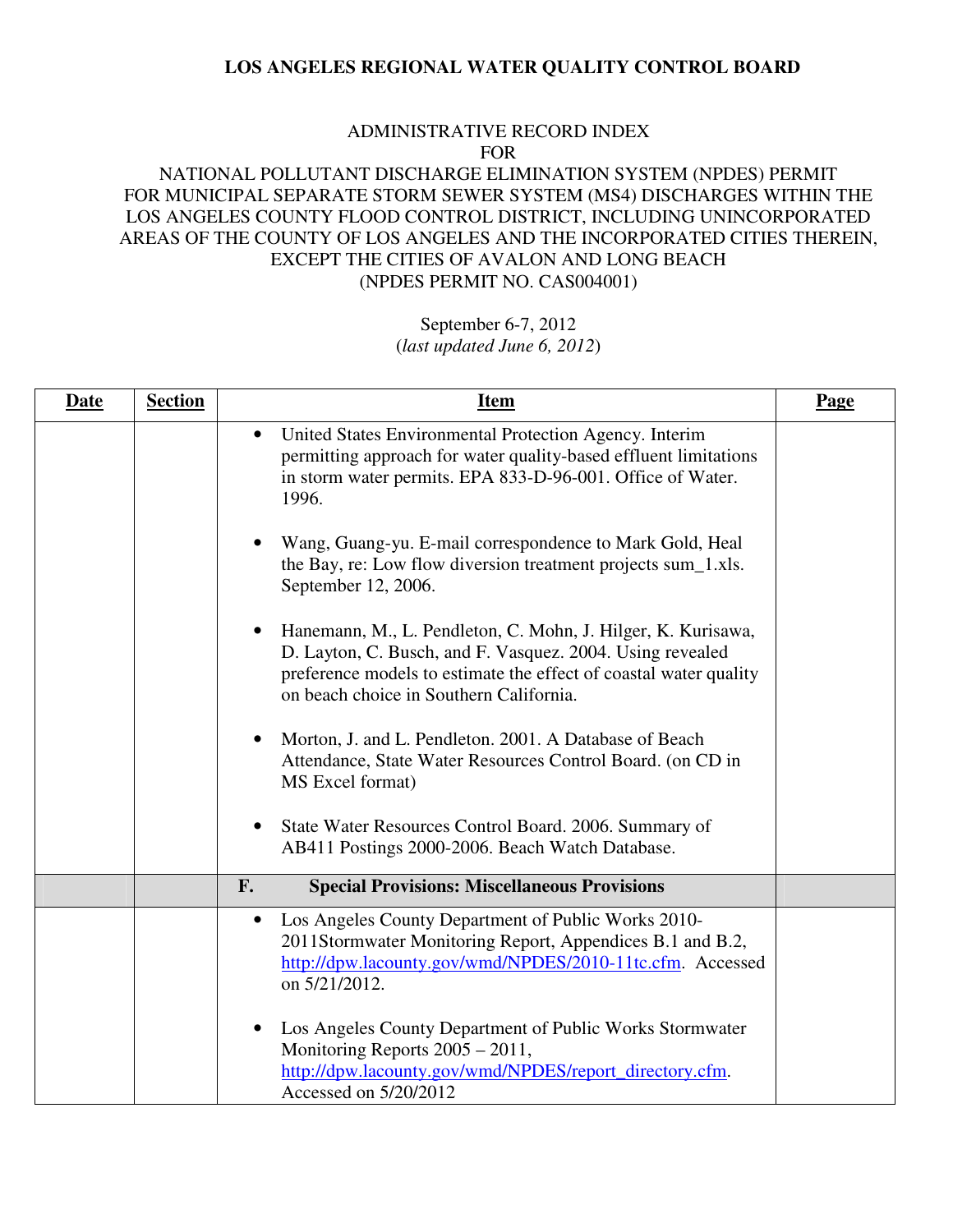#### ADMINISTRATIVE RECORD INDEX FOR

# NATIONAL POLLUTANT DISCHARGE ELIMINATION SYSTEM (NPDES) PERMIT FOR MUNICIPAL SEPARATE STORM SEWER SYSTEM (MS4) DISCHARGES WITHIN THE LOS ANGELES COUNTY FLOOD CONTROL DISTRICT, INCLUDING UNINCORPORATED AREAS OF THE COUNTY OF LOS ANGELES AND THE INCORPORATED CITIES THEREIN, EXCEPT THE CITIES OF AVALON AND LONG BEACH (NPDES PERMIT NO. CAS004001)

| <b>Date</b> | <b>Section</b> | <u>Item</u>                                                                                                                                                                                                                                            | Page |
|-------------|----------------|--------------------------------------------------------------------------------------------------------------------------------------------------------------------------------------------------------------------------------------------------------|------|
|             |                | United States Environmental Protection Agency. Interim<br>$\bullet$<br>permitting approach for water quality-based effluent limitations<br>in storm water permits. EPA 833-D-96-001. Office of Water.<br>1996.                                         |      |
|             |                | Wang, Guang-yu. E-mail correspondence to Mark Gold, Heal<br>the Bay, re: Low flow diversion treatment projects sum_1.xls.<br>September 12, 2006.                                                                                                       |      |
|             |                | Hanemann, M., L. Pendleton, C. Mohn, J. Hilger, K. Kurisawa,<br>$\bullet$<br>D. Layton, C. Busch, and F. Vasquez. 2004. Using revealed<br>preference models to estimate the effect of coastal water quality<br>on beach choice in Southern California. |      |
|             |                | Morton, J. and L. Pendleton. 2001. A Database of Beach<br>$\bullet$<br>Attendance, State Water Resources Control Board. (on CD in<br>MS Excel format)                                                                                                  |      |
|             |                | State Water Resources Control Board. 2006. Summary of<br>$\bullet$<br>AB411 Postings 2000-2006. Beach Watch Database.                                                                                                                                  |      |
|             |                | <b>Special Provisions: Miscellaneous Provisions</b><br>F.                                                                                                                                                                                              |      |
|             |                | Los Angeles County Department of Public Works 2010-<br>$\bullet$<br>2011Stormwater Monitoring Report, Appendices B.1 and B.2,<br>http://dpw.lacounty.gov/wmd/NPDES/2010-11tc.cfm. Accessed<br>on 5/21/2012.                                            |      |
|             |                | Los Angeles County Department of Public Works Stormwater<br>$\bullet$<br>Monitoring Reports 2005 - 2011,<br>http://dpw.lacounty.gov/wmd/NPDES/report_directory.cfm.<br>Accessed on 5/20/2012                                                           |      |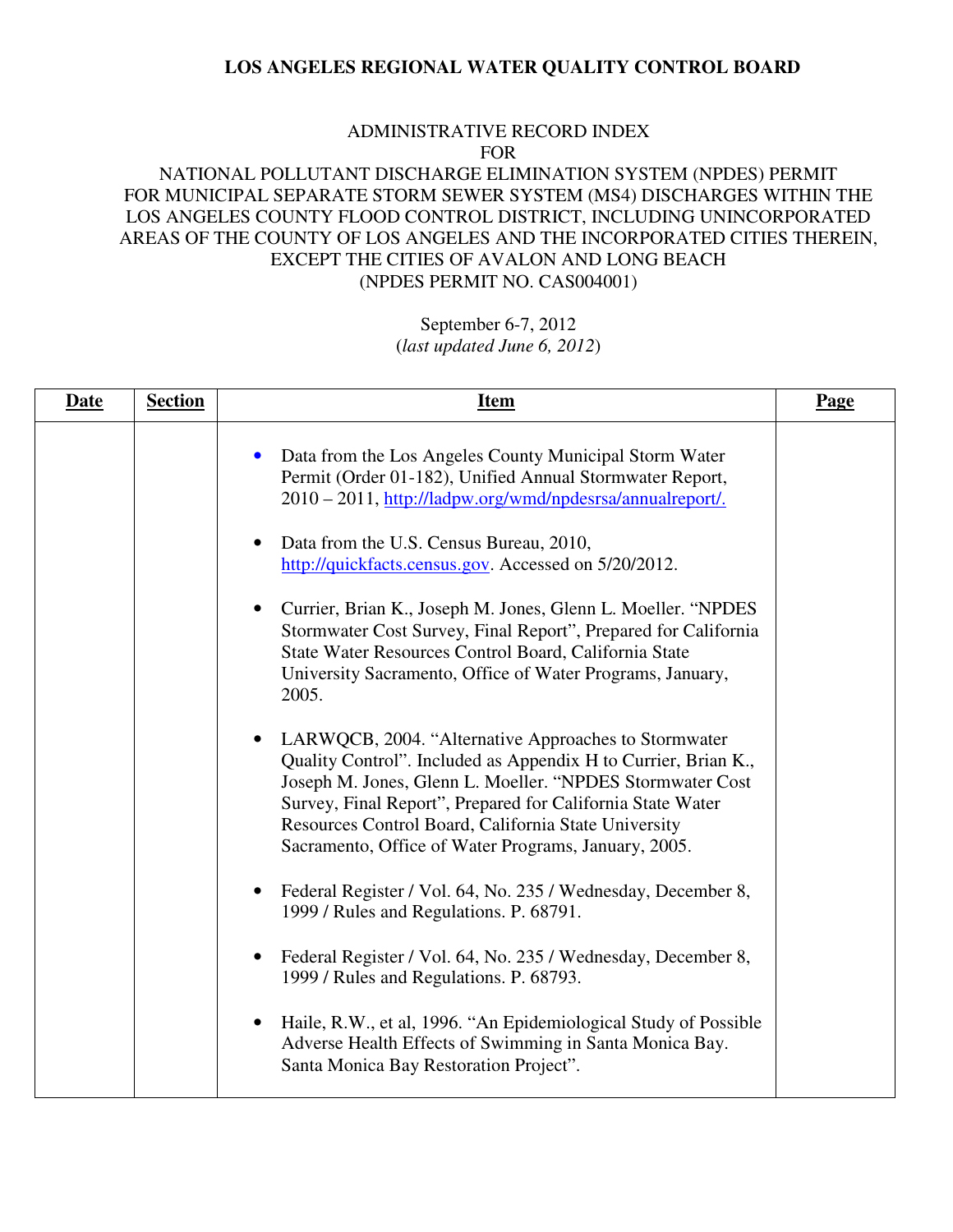#### ADMINISTRATIVE RECORD INDEX FOR

# NATIONAL POLLUTANT DISCHARGE ELIMINATION SYSTEM (NPDES) PERMIT FOR MUNICIPAL SEPARATE STORM SEWER SYSTEM (MS4) DISCHARGES WITHIN THE LOS ANGELES COUNTY FLOOD CONTROL DISTRICT, INCLUDING UNINCORPORATED AREAS OF THE COUNTY OF LOS ANGELES AND THE INCORPORATED CITIES THEREIN, EXCEPT THE CITIES OF AVALON AND LONG BEACH (NPDES PERMIT NO. CAS004001)

| <b>Date</b> | <b>Section</b> | <b>Item</b>                                                                                                                                                                                                                                                                                                                                                       | Page |
|-------------|----------------|-------------------------------------------------------------------------------------------------------------------------------------------------------------------------------------------------------------------------------------------------------------------------------------------------------------------------------------------------------------------|------|
|             |                | Data from the Los Angeles County Municipal Storm Water<br>Permit (Order 01-182), Unified Annual Stormwater Report,<br>2010 - 2011, http://ladpw.org/wmd/npdesrsa/annualreport/.                                                                                                                                                                                   |      |
|             |                | Data from the U.S. Census Bureau, 2010,<br>$\bullet$<br>http://quickfacts.census.gov. Accessed on 5/20/2012.                                                                                                                                                                                                                                                      |      |
|             |                | Currier, Brian K., Joseph M. Jones, Glenn L. Moeller. "NPDES<br>Stormwater Cost Survey, Final Report", Prepared for California<br>State Water Resources Control Board, California State<br>University Sacramento, Office of Water Programs, January,<br>2005.                                                                                                     |      |
|             |                | LARWQCB, 2004. "Alternative Approaches to Stormwater<br>Quality Control". Included as Appendix H to Currier, Brian K.,<br>Joseph M. Jones, Glenn L. Moeller. "NPDES Stormwater Cost<br>Survey, Final Report", Prepared for California State Water<br>Resources Control Board, California State University<br>Sacramento, Office of Water Programs, January, 2005. |      |
|             |                | Federal Register / Vol. 64, No. 235 / Wednesday, December 8,<br>1999 / Rules and Regulations. P. 68791.                                                                                                                                                                                                                                                           |      |
|             |                | Federal Register / Vol. 64, No. 235 / Wednesday, December 8,<br>1999 / Rules and Regulations. P. 68793.                                                                                                                                                                                                                                                           |      |
|             |                | Haile, R.W., et al, 1996. "An Epidemiological Study of Possible<br>$\bullet$<br>Adverse Health Effects of Swimming in Santa Monica Bay.<br>Santa Monica Bay Restoration Project".                                                                                                                                                                                 |      |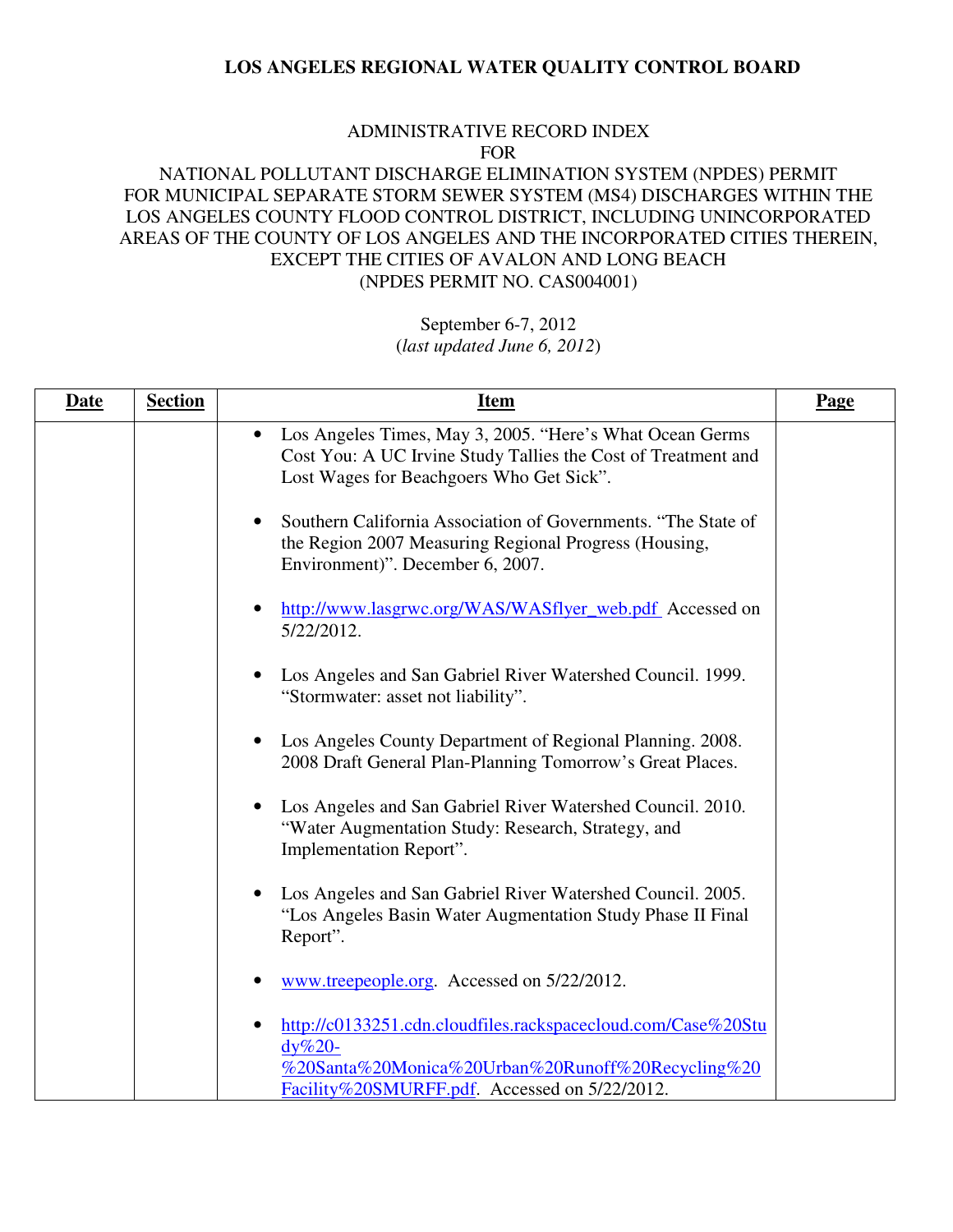#### ADMINISTRATIVE RECORD INDEX FOR

### NATIONAL POLLUTANT DISCHARGE ELIMINATION SYSTEM (NPDES) PERMIT FOR MUNICIPAL SEPARATE STORM SEWER SYSTEM (MS4) DISCHARGES WITHIN THE LOS ANGELES COUNTY FLOOD CONTROL DISTRICT, INCLUDING UNINCORPORATED AREAS OF THE COUNTY OF LOS ANGELES AND THE INCORPORATED CITIES THEREIN, EXCEPT THE CITIES OF AVALON AND LONG BEACH (NPDES PERMIT NO. CAS004001)

| <b>Date</b> | <b>Section</b> | <b>Item</b>                                                                                                                                                                      | Page |
|-------------|----------------|----------------------------------------------------------------------------------------------------------------------------------------------------------------------------------|------|
|             |                | • Los Angeles Times, May 3, 2005. "Here's What Ocean Germs<br>Cost You: A UC Irvine Study Tallies the Cost of Treatment and<br>Lost Wages for Beachgoers Who Get Sick".          |      |
|             |                | Southern California Association of Governments. "The State of<br>$\bullet$<br>the Region 2007 Measuring Regional Progress (Housing,<br>Environment)". December 6, 2007.          |      |
|             |                | http://www.lasgrwc.org/WAS/WASflyer_web.pdf Accessed on<br>5/22/2012.                                                                                                            |      |
|             |                | Los Angeles and San Gabriel River Watershed Council. 1999.<br>"Stormwater: asset not liability".                                                                                 |      |
|             |                | Los Angeles County Department of Regional Planning. 2008.<br>2008 Draft General Plan-Planning Tomorrow's Great Places.                                                           |      |
|             |                | Los Angeles and San Gabriel River Watershed Council. 2010.<br>"Water Augmentation Study: Research, Strategy, and<br>Implementation Report".                                      |      |
|             |                | Los Angeles and San Gabriel River Watershed Council. 2005.<br>"Los Angeles Basin Water Augmentation Study Phase II Final<br>Report".                                             |      |
|             |                | www.treepeople.org. Accessed on 5/22/2012.                                                                                                                                       |      |
|             |                | http://c0133251.cdn.cloudfiles.rackspacecloud.com/Case%20Stu<br>$dy\%20$ -<br>%20Santa%20Monica%20Urban%20Runoff%20Recycling%20<br>Facility%20SMURFF.pdf. Accessed on 5/22/2012. |      |